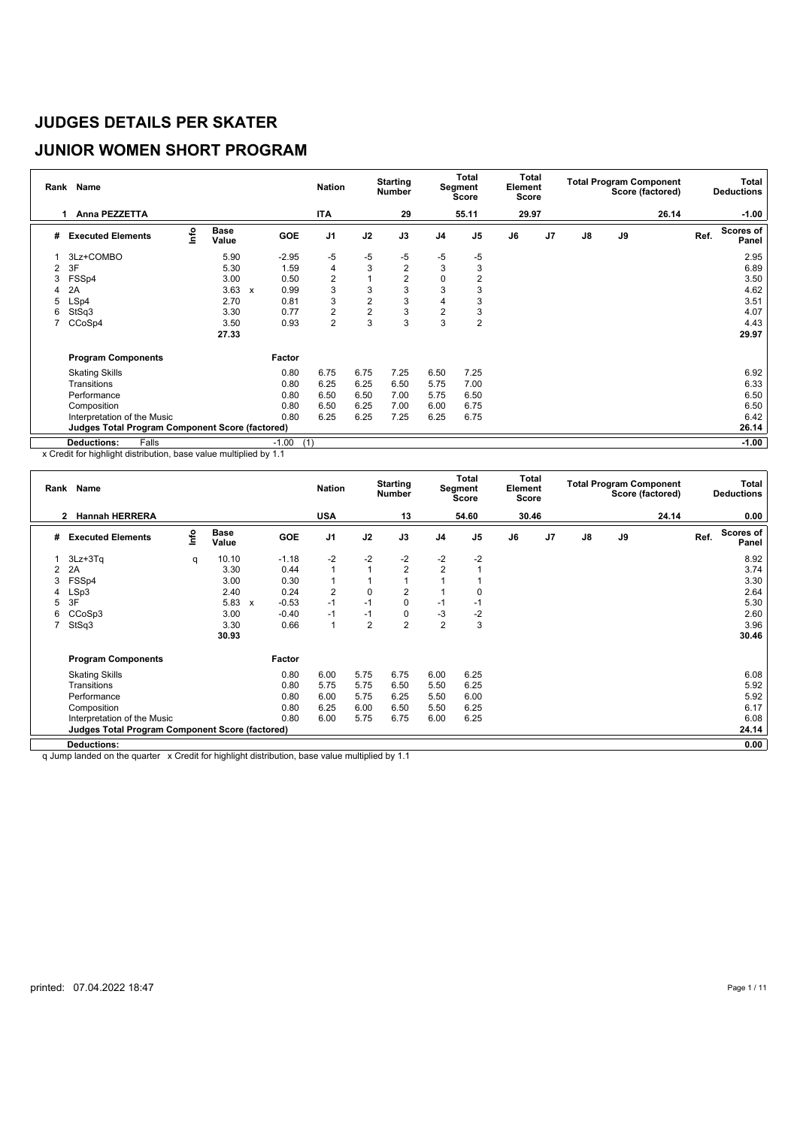## **JUNIOR WOMEN SHORT PROGRAM**

| Rank | Name                                                   |      |                      |                           |                | <b>Nation</b>  |                | <b>Starting</b><br><b>Number</b> |                | Total<br>Segment<br><b>Score</b> | Total<br>Element<br>Score |    |                |    | <b>Total Program Component</b><br>Score (factored) |      | Total<br><b>Deductions</b> |
|------|--------------------------------------------------------|------|----------------------|---------------------------|----------------|----------------|----------------|----------------------------------|----------------|----------------------------------|---------------------------|----|----------------|----|----------------------------------------------------|------|----------------------------|
|      | Anna PEZZETTA<br>1                                     |      |                      |                           |                | <b>ITA</b>     |                | 29                               |                | 55.11                            | 29.97                     |    |                |    | 26.14                                              |      | $-1.00$                    |
| #    | <b>Executed Elements</b>                               | lnfo | <b>Base</b><br>Value |                           | <b>GOE</b>     | J <sub>1</sub> | J2             | J3                               | J <sub>4</sub> | J <sub>5</sub>                   | J6                        | J7 | $\mathbf{J}$ 8 | J9 |                                                    | Ref. | <b>Scores of</b><br>Panel  |
|      | 3Lz+COMBO                                              |      | 5.90                 |                           | $-2.95$        | -5             | $-5$           | $-5$                             | -5             | $-5$                             |                           |    |                |    |                                                    |      | 2.95                       |
| 2    | 3F                                                     |      | 5.30                 |                           | 1.59           | 4              | 3              | $\overline{2}$                   | 3              | 3                                |                           |    |                |    |                                                    |      | 6.89                       |
| 3    | FSSp4                                                  |      | 3.00                 |                           | 0.50           | 2              |                | 2                                | 0              | 2                                |                           |    |                |    |                                                    |      | 3.50                       |
| 4    | 2A                                                     |      | 3.63                 | $\boldsymbol{\mathsf{x}}$ | 0.99           | 3              | 3              | 3                                | 3              |                                  |                           |    |                |    |                                                    |      | 4.62                       |
| 5    | LSp4                                                   |      | 2.70                 |                           | 0.81           | 3              | $\overline{2}$ | 3                                | $\overline{4}$ | 3                                |                           |    |                |    |                                                    |      | 3.51                       |
| 6    | StSq3                                                  |      | 3.30                 |                           | 0.77           | 2              | $\overline{2}$ | 3                                | $\overline{2}$ | 3                                |                           |    |                |    |                                                    |      | 4.07                       |
|      | CCoSp4                                                 |      | 3.50                 |                           | 0.93           | $\overline{2}$ | 3              | 3                                | 3              | $\overline{2}$                   |                           |    |                |    |                                                    |      | 4.43                       |
|      |                                                        |      | 27.33                |                           |                |                |                |                                  |                |                                  |                           |    |                |    |                                                    |      | 29.97                      |
|      | <b>Program Components</b>                              |      |                      |                           | Factor         |                |                |                                  |                |                                  |                           |    |                |    |                                                    |      |                            |
|      | <b>Skating Skills</b>                                  |      |                      |                           | 0.80           | 6.75           | 6.75           | 7.25                             | 6.50           | 7.25                             |                           |    |                |    |                                                    |      | 6.92                       |
|      | Transitions                                            |      |                      |                           | 0.80           | 6.25           | 6.25           | 6.50                             | 5.75           | 7.00                             |                           |    |                |    |                                                    |      | 6.33                       |
|      | Performance                                            |      |                      |                           | 0.80           | 6.50           | 6.50           | 7.00                             | 5.75           | 6.50                             |                           |    |                |    |                                                    |      | 6.50                       |
|      | Composition                                            |      |                      |                           | 0.80           | 6.50           | 6.25           | 7.00                             | 6.00           | 6.75                             |                           |    |                |    |                                                    |      | 6.50                       |
|      | Interpretation of the Music                            |      |                      |                           | 0.80           | 6.25           | 6.25           | 7.25                             | 6.25           | 6.75                             |                           |    |                |    |                                                    |      | 6.42                       |
|      | <b>Judges Total Program Component Score (factored)</b> |      |                      |                           |                |                |                |                                  |                |                                  |                           |    |                |    |                                                    |      | 26.14                      |
|      | <b>Deductions:</b><br>Falls                            |      |                      |                           | $-1.00$<br>(1) |                |                |                                  |                |                                  |                           |    |                |    |                                                    |      | $-1.00$                    |

x Credit for highlight distribution, base value multiplied by 1.1

|   | Rank Name                                              |      |                      |              |            | <b>Nation</b>  |                | <b>Starting</b><br><b>Number</b> |                | <b>Total</b><br>Segment<br><b>Score</b> | Total<br>Element<br>Score |    |    |    | <b>Total Program Component</b><br>Score (factored) |      | Total<br><b>Deductions</b> |
|---|--------------------------------------------------------|------|----------------------|--------------|------------|----------------|----------------|----------------------------------|----------------|-----------------------------------------|---------------------------|----|----|----|----------------------------------------------------|------|----------------------------|
|   | <b>Hannah HERRERA</b><br>2                             |      |                      |              |            | <b>USA</b>     |                | 13                               |                | 54.60                                   | 30.46                     |    |    |    | 24.14                                              |      | 0.00                       |
| # | <b>Executed Elements</b>                               | lnfo | <b>Base</b><br>Value |              | <b>GOE</b> | J <sub>1</sub> | J2             | J3                               | J <sub>4</sub> | J <sub>5</sub>                          | J6                        | J7 | J8 | J9 |                                                    | Ref. | <b>Scores of</b><br>Panel  |
|   | $3Lz + 3Tq$                                            | q    | 10.10                |              | $-1.18$    | $-2$           | $-2$           | $-2$                             | $-2$           | $-2$                                    |                           |    |    |    |                                                    |      | 8.92                       |
| 2 | 2A                                                     |      | 3.30                 |              | 0.44       | $\mathbf{1}$   | 1              | $\overline{2}$                   | $\overline{2}$ |                                         |                           |    |    |    |                                                    |      | 3.74                       |
| 3 | FSSp4                                                  |      | 3.00                 |              | 0.30       | 1              | 1              |                                  |                |                                         |                           |    |    |    |                                                    |      | 3.30                       |
| 4 | LSp3                                                   |      | 2.40                 |              | 0.24       | $\overline{2}$ | $\mathbf 0$    | $\overline{2}$                   |                |                                         |                           |    |    |    |                                                    |      | 2.64                       |
| 5 | 3F                                                     |      | 5.83                 | $\mathsf{x}$ | $-0.53$    | $-1$           | $-1$           | 0                                | $-1$           | $-1$                                    |                           |    |    |    |                                                    |      | 5.30                       |
| 6 | CCoSp3                                                 |      | 3.00                 |              | $-0.40$    | $-1$           | $-1$           | 0                                | $-3$           | $-2$                                    |                           |    |    |    |                                                    |      | 2.60                       |
|   | StSq3                                                  |      | 3.30                 |              | 0.66       | $\mathbf{1}$   | $\overline{2}$ | $\overline{2}$                   | $\overline{2}$ | 3                                       |                           |    |    |    |                                                    |      | 3.96                       |
|   |                                                        |      | 30.93                |              |            |                |                |                                  |                |                                         |                           |    |    |    |                                                    |      | 30.46                      |
|   | <b>Program Components</b>                              |      |                      |              | Factor     |                |                |                                  |                |                                         |                           |    |    |    |                                                    |      |                            |
|   | <b>Skating Skills</b>                                  |      |                      |              | 0.80       | 6.00           | 5.75           | 6.75                             | 6.00           | 6.25                                    |                           |    |    |    |                                                    |      | 6.08                       |
|   | Transitions                                            |      |                      |              | 0.80       | 5.75           | 5.75           | 6.50                             | 5.50           | 6.25                                    |                           |    |    |    |                                                    |      | 5.92                       |
|   | Performance                                            |      |                      |              | 0.80       | 6.00           | 5.75           | 6.25                             | 5.50           | 6.00                                    |                           |    |    |    |                                                    |      | 5.92                       |
|   | Composition                                            |      |                      |              | 0.80       | 6.25           | 6.00           | 6.50                             | 5.50           | 6.25                                    |                           |    |    |    |                                                    |      | 6.17                       |
|   | Interpretation of the Music                            |      |                      |              | 0.80       | 6.00           | 5.75           | 6.75                             | 6.00           | 6.25                                    |                           |    |    |    |                                                    |      | 6.08                       |
|   | <b>Judges Total Program Component Score (factored)</b> |      |                      |              |            |                |                |                                  |                |                                         |                           |    |    |    |                                                    |      | 24.14                      |
|   | <b>Deductions:</b>                                     |      |                      |              |            |                |                |                                  |                |                                         |                           |    |    |    |                                                    |      | 0.00                       |

q Jump landed on the quarter x Credit for highlight distribution, base value multiplied by 1.1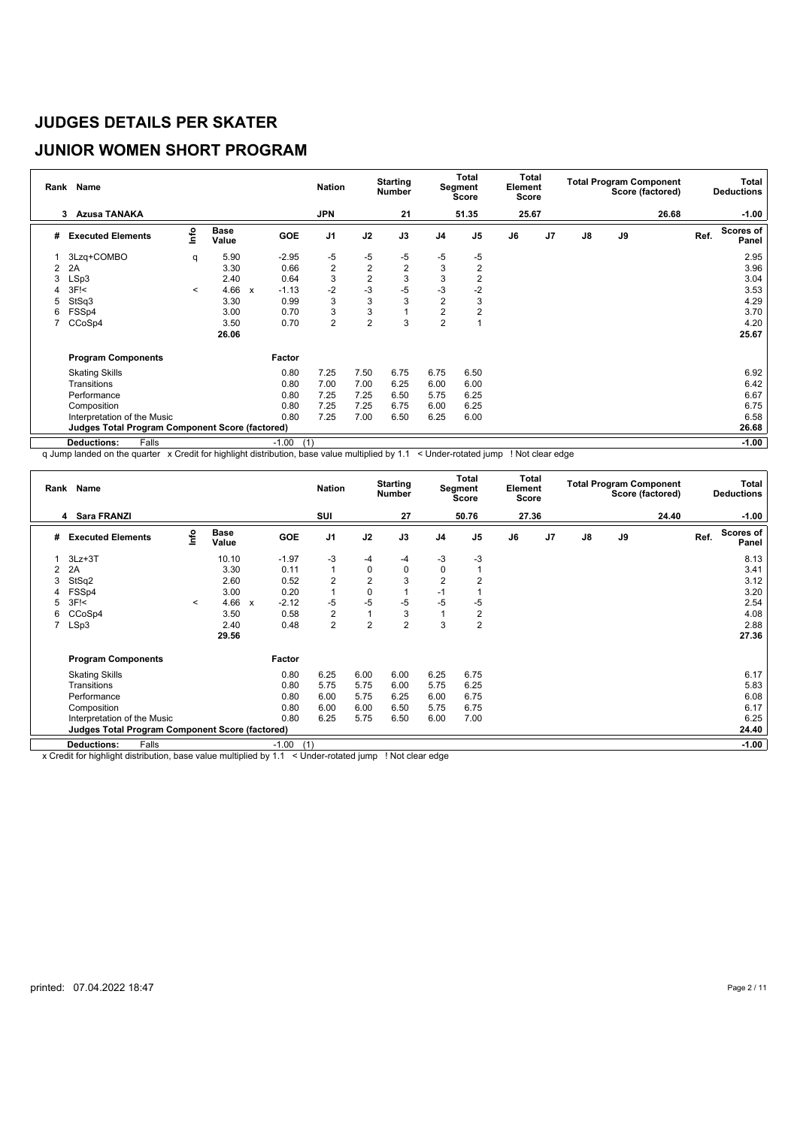# **JUNIOR WOMEN SHORT PROGRAM**

|                | Rank Name                                       |         |                      |              |                | <b>Nation</b>  |                | <b>Starting</b><br><b>Number</b> |                | <b>Total</b><br>Segment<br><b>Score</b> | Total<br>Element<br>Score |    |               |    | <b>Total Program Component</b><br>Score (factored) |      | Total<br><b>Deductions</b> |
|----------------|-------------------------------------------------|---------|----------------------|--------------|----------------|----------------|----------------|----------------------------------|----------------|-----------------------------------------|---------------------------|----|---------------|----|----------------------------------------------------|------|----------------------------|
|                | <b>Azusa TANAKA</b><br>3                        |         |                      |              |                | <b>JPN</b>     |                | 21                               |                | 51.35                                   | 25.67                     |    |               |    | 26.68                                              |      | $-1.00$                    |
| #              | <b>Executed Elements</b>                        | lnfo    | <b>Base</b><br>Value |              | <b>GOE</b>     | J <sub>1</sub> | J2             | J3                               | J <sub>4</sub> | J <sub>5</sub>                          | J6                        | J7 | $\mathsf{J}8$ | J9 |                                                    | Ref. | <b>Scores of</b><br>Panel  |
|                | 3Lzq+COMBO                                      | q       | 5.90                 |              | $-2.95$        | $-5$           | $-5$           | $-5$                             | -5             | -5                                      |                           |    |               |    |                                                    |      | 2.95                       |
| $\overline{2}$ | 2A                                              |         | 3.30                 |              | 0.66           | $\overline{2}$ | $\overline{2}$ | $\overline{2}$                   | 3              | $\overline{2}$                          |                           |    |               |    |                                                    |      | 3.96                       |
| 3              | LSp3                                            |         | 2.40                 |              | 0.64           | 3              | $\overline{2}$ | 3                                | 3              | 2                                       |                           |    |               |    |                                                    |      | 3.04                       |
| 4              | $3F$ $<$                                        | $\prec$ | 4.66                 | $\mathbf{x}$ | $-1.13$        | $-2$           | $-3$           | $-5$                             | $-3$           | $-2$                                    |                           |    |               |    |                                                    |      | 3.53                       |
| 5              | StSq3                                           |         | 3.30                 |              | 0.99           | 3              | 3              | 3                                | $\overline{2}$ | 3                                       |                           |    |               |    |                                                    |      | 4.29                       |
| 6              | FSSp4                                           |         | 3.00                 |              | 0.70           | 3              | 3              |                                  | $\overline{2}$ | $\overline{2}$                          |                           |    |               |    |                                                    |      | 3.70                       |
|                | CCoSp4                                          |         | 3.50                 |              | 0.70           | $\overline{2}$ | $\overline{2}$ | 3                                | $\overline{c}$ |                                         |                           |    |               |    |                                                    |      | 4.20                       |
|                |                                                 |         | 26.06                |              |                |                |                |                                  |                |                                         |                           |    |               |    |                                                    |      | 25.67                      |
|                | <b>Program Components</b>                       |         |                      |              | Factor         |                |                |                                  |                |                                         |                           |    |               |    |                                                    |      |                            |
|                | <b>Skating Skills</b>                           |         |                      |              | 0.80           | 7.25           | 7.50           | 6.75                             | 6.75           | 6.50                                    |                           |    |               |    |                                                    |      | 6.92                       |
|                | Transitions                                     |         |                      |              | 0.80           | 7.00           | 7.00           | 6.25                             | 6.00           | 6.00                                    |                           |    |               |    |                                                    |      | 6.42                       |
|                | Performance                                     |         |                      |              | 0.80           | 7.25           | 7.25           | 6.50                             | 5.75           | 6.25                                    |                           |    |               |    |                                                    |      | 6.67                       |
|                | Composition                                     |         |                      |              | 0.80           | 7.25           | 7.25           | 6.75                             | 6.00           | 6.25                                    |                           |    |               |    |                                                    |      | 6.75                       |
|                | Interpretation of the Music                     |         |                      |              | 0.80           | 7.25           | 7.00           | 6.50                             | 6.25           | 6.00                                    |                           |    |               |    |                                                    |      | 6.58                       |
|                | Judges Total Program Component Score (factored) |         |                      |              |                |                |                |                                  |                |                                         |                           |    |               |    |                                                    |      | 26.68                      |
|                | Falls<br><b>Deductions:</b>                     |         |                      |              | $-1.00$<br>(1) |                |                |                                  |                |                                         |                           |    |               |    |                                                    |      | $-1.00$                    |

q Jump landed on the quarter x Credit for highlight distribution, base value multiplied by 1.1 < Under-rotated jump ! Not clear edge

|   | Rank Name                                              |         |                      |              |                | <b>Nation</b>  |                | <b>Starting</b><br><b>Number</b> |                | Total<br>Segment<br><b>Score</b> | Total<br>Element<br><b>Score</b> |    |               |    | <b>Total Program Component</b><br>Score (factored) |      | Total<br><b>Deductions</b> |
|---|--------------------------------------------------------|---------|----------------------|--------------|----------------|----------------|----------------|----------------------------------|----------------|----------------------------------|----------------------------------|----|---------------|----|----------------------------------------------------|------|----------------------------|
|   | <b>Sara FRANZI</b><br>4                                |         |                      |              |                | SUI            |                | 27                               |                | 50.76                            | 27.36                            |    |               |    | 24.40                                              |      | $-1.00$                    |
| # | <b>Executed Elements</b>                               | lnfo    | <b>Base</b><br>Value |              | GOE            | J <sub>1</sub> | J2             | J3                               | J <sub>4</sub> | J <sub>5</sub>                   | J6                               | J7 | $\mathsf{J}8$ | J9 |                                                    | Ref. | Scores of<br>Panel         |
|   | $3Lz + 3T$                                             |         | 10.10                |              | $-1.97$        | -3             | -4             | -4                               | -3             | -3                               |                                  |    |               |    |                                                    |      | 8.13                       |
| 2 | 2A                                                     |         | 3.30                 |              | 0.11           | $\mathbf{1}$   | 0              | 0                                | 0              |                                  |                                  |    |               |    |                                                    |      | 3.41                       |
| 3 | StSq2                                                  |         | 2.60                 |              | 0.52           | $\overline{2}$ | $\overline{2}$ | 3                                | $\overline{2}$ | 2                                |                                  |    |               |    |                                                    |      | 3.12                       |
| 4 | FSSp4                                                  |         | 3.00                 |              | 0.20           | $\mathbf{1}$   | $\pmb{0}$      |                                  | $-1$           |                                  |                                  |    |               |    |                                                    |      | 3.20                       |
| 5 | 3F <sub>5</sub>                                        | $\,<\,$ | 4.66                 | $\mathbf{x}$ | $-2.12$        | -5             | $-5$           | $-5$                             | $-5$           | $-5$                             |                                  |    |               |    |                                                    |      | 2.54                       |
| 6 | CCoSp4                                                 |         | 3.50                 |              | 0.58           | $\overline{2}$ |                | 3                                |                | $\overline{2}$                   |                                  |    |               |    |                                                    |      | 4.08                       |
|   | LSp3                                                   |         | 2.40                 |              | 0.48           | $\overline{c}$ | $\overline{2}$ | $\overline{2}$                   | 3              | $\overline{2}$                   |                                  |    |               |    |                                                    |      | 2.88                       |
|   |                                                        |         | 29.56                |              |                |                |                |                                  |                |                                  |                                  |    |               |    |                                                    |      | 27.36                      |
|   | <b>Program Components</b>                              |         |                      |              | Factor         |                |                |                                  |                |                                  |                                  |    |               |    |                                                    |      |                            |
|   | <b>Skating Skills</b>                                  |         |                      |              | 0.80           | 6.25           | 6.00           | 6.00                             | 6.25           | 6.75                             |                                  |    |               |    |                                                    |      | 6.17                       |
|   | Transitions                                            |         |                      |              | 0.80           | 5.75           | 5.75           | 6.00                             | 5.75           | 6.25                             |                                  |    |               |    |                                                    |      | 5.83                       |
|   | Performance                                            |         |                      |              | 0.80           | 6.00           | 5.75           | 6.25                             | 6.00           | 6.75                             |                                  |    |               |    |                                                    |      | 6.08                       |
|   | Composition                                            |         |                      |              | 0.80           | 6.00           | 6.00           | 6.50                             | 5.75           | 6.75                             |                                  |    |               |    |                                                    |      | 6.17                       |
|   | Interpretation of the Music                            |         |                      |              | 0.80           | 6.25           | 5.75           | 6.50                             | 6.00           | 7.00                             |                                  |    |               |    |                                                    |      | 6.25                       |
|   | <b>Judges Total Program Component Score (factored)</b> |         |                      |              |                |                |                |                                  |                |                                  |                                  |    |               |    |                                                    |      | 24.40                      |
|   | Falls<br><b>Deductions:</b>                            |         |                      |              | $-1.00$<br>(1) |                |                |                                  |                |                                  |                                  |    |               |    |                                                    |      | $-1.00$                    |

x Credit for highlight distribution, base value multiplied by 1.1 < Under-rotated jump ! Not clear edge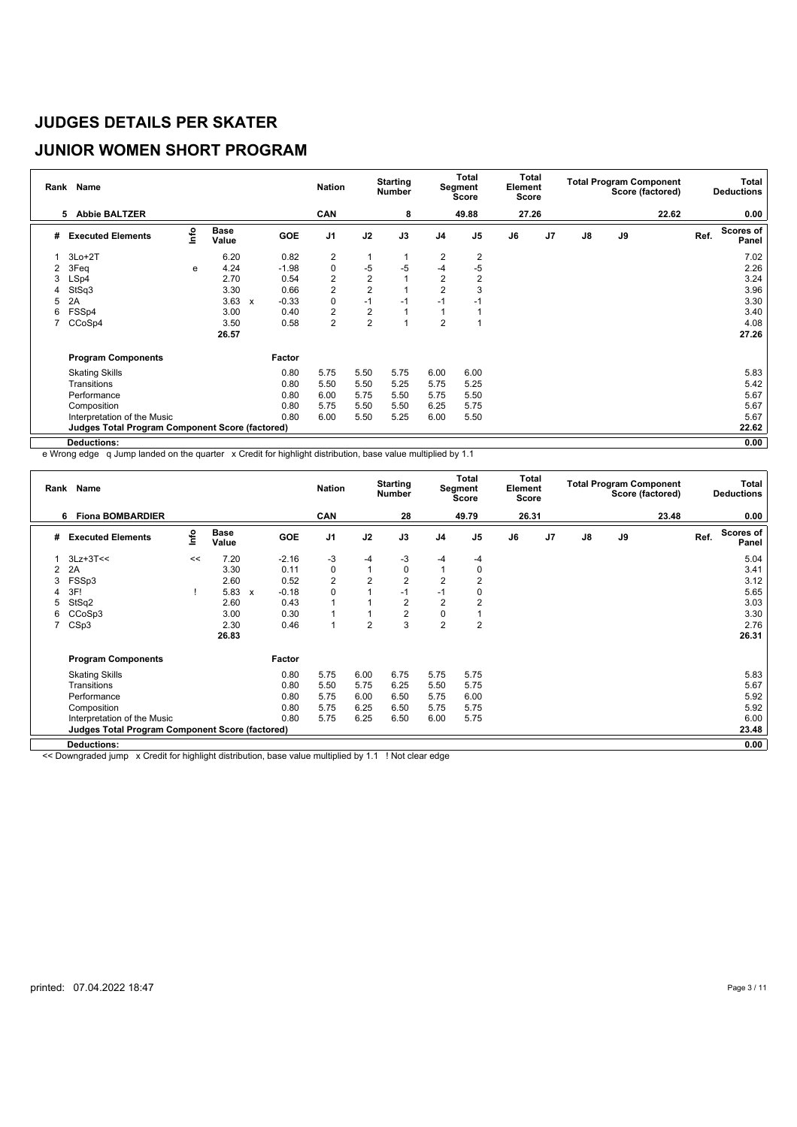# **JUNIOR WOMEN SHORT PROGRAM**

|   | Rank Name                                              |                           |                      |              |            | <b>Nation</b>           |                | <b>Starting</b><br><b>Number</b> |                | <b>Total</b><br>Segment<br><b>Score</b> | Total<br>Element<br>Score |    |               |    | <b>Total Program Component</b><br>Score (factored) |      | Total<br><b>Deductions</b> |
|---|--------------------------------------------------------|---------------------------|----------------------|--------------|------------|-------------------------|----------------|----------------------------------|----------------|-----------------------------------------|---------------------------|----|---------------|----|----------------------------------------------------|------|----------------------------|
|   | <b>Abbie BALTZER</b><br>5                              |                           |                      |              |            | CAN                     |                | 8                                |                | 49.88                                   | 27.26                     |    |               |    | 22.62                                              |      | 0.00                       |
| # | <b>Executed Elements</b>                               | $\mathsf{Int}^\mathsf{o}$ | <b>Base</b><br>Value |              | <b>GOE</b> | J <sub>1</sub>          | J2             | J3                               | J <sub>4</sub> | J <sub>5</sub>                          | J6                        | J7 | $\mathsf{J}8$ | J9 |                                                    | Ref. | Scores of<br>Panel         |
|   | $3Lo+2T$                                               |                           | 6.20                 |              | 0.82       | $\overline{\mathbf{c}}$ | $\mathbf{1}$   |                                  | 2              | 2                                       |                           |    |               |    |                                                    |      | 7.02                       |
| 2 | 3Feq                                                   | e                         | 4.24                 |              | $-1.98$    | $\mathbf 0$             | $-5$           | $-5$                             | -4             | $-5$                                    |                           |    |               |    |                                                    |      | 2.26                       |
| 3 | LSp4                                                   |                           | 2.70                 |              | 0.54       | $\overline{2}$          | $\overline{2}$ |                                  | $\overline{2}$ | $\overline{2}$                          |                           |    |               |    |                                                    |      | 3.24                       |
| 4 | StSq3                                                  |                           | 3.30                 |              | 0.66       | $\overline{2}$          | $\overline{2}$ |                                  | $\overline{2}$ | 3                                       |                           |    |               |    |                                                    |      | 3.96                       |
| 5 | 2A                                                     |                           | 3.63                 | $\mathbf{x}$ | $-0.33$    | $\pmb{0}$               | $-1$           | $-1$                             | $-1$           | $-1$                                    |                           |    |               |    |                                                    |      | 3.30                       |
| 6 | FSSp4                                                  |                           | 3.00                 |              | 0.40       | $\overline{2}$          | $\overline{2}$ |                                  |                |                                         |                           |    |               |    |                                                    |      | 3.40                       |
|   | CCoSp4                                                 |                           | 3.50                 |              | 0.58       | $\overline{2}$          | $\overline{2}$ |                                  | $\overline{2}$ |                                         |                           |    |               |    |                                                    |      | 4.08                       |
|   |                                                        |                           | 26.57                |              |            |                         |                |                                  |                |                                         |                           |    |               |    |                                                    |      | 27.26                      |
|   | <b>Program Components</b>                              |                           |                      |              | Factor     |                         |                |                                  |                |                                         |                           |    |               |    |                                                    |      |                            |
|   | <b>Skating Skills</b>                                  |                           |                      |              | 0.80       | 5.75                    | 5.50           | 5.75                             | 6.00           | 6.00                                    |                           |    |               |    |                                                    |      | 5.83                       |
|   | Transitions                                            |                           |                      |              | 0.80       | 5.50                    | 5.50           | 5.25                             | 5.75           | 5.25                                    |                           |    |               |    |                                                    |      | 5.42                       |
|   | Performance                                            |                           |                      |              | 0.80       | 6.00                    | 5.75           | 5.50                             | 5.75           | 5.50                                    |                           |    |               |    |                                                    |      | 5.67                       |
|   | Composition                                            |                           |                      |              | 0.80       | 5.75                    | 5.50           | 5.50                             | 6.25           | 5.75                                    |                           |    |               |    |                                                    |      | 5.67                       |
|   | Interpretation of the Music                            |                           |                      |              | 0.80       | 6.00                    | 5.50           | 5.25                             | 6.00           | 5.50                                    |                           |    |               |    |                                                    |      | 5.67                       |
|   | <b>Judges Total Program Component Score (factored)</b> |                           |                      |              |            |                         |                |                                  |                |                                         |                           |    |               |    |                                                    |      | 22.62                      |
|   | Deductions:                                            |                           |                      |              |            |                         |                |                                  |                |                                         |                           |    |               |    |                                                    |      | 0.00                       |

e Wrong edge q Jump landed on the quarter x Credit for highlight distribution, base value multiplied by 1.1

|   | Rank Name                                              |      |                      |              |            | <b>Nation</b>  |                | <b>Starting</b><br><b>Number</b> |                | <b>Total</b><br>Segment<br><b>Score</b> | Element<br>Score | Total          |    |    | <b>Total Program Component</b><br>Score (factored) |      | Total<br><b>Deductions</b> |
|---|--------------------------------------------------------|------|----------------------|--------------|------------|----------------|----------------|----------------------------------|----------------|-----------------------------------------|------------------|----------------|----|----|----------------------------------------------------|------|----------------------------|
|   | <b>Fiona BOMBARDIER</b><br>6                           |      |                      |              |            | CAN            |                | 28                               |                | 49.79                                   | 26.31            |                |    |    | 23.48                                              |      | 0.00                       |
| # | <b>Executed Elements</b>                               | lnfo | <b>Base</b><br>Value |              | <b>GOE</b> | J <sub>1</sub> | J2             | J3                               | J <sub>4</sub> | J <sub>5</sub>                          | J6               | J <sub>7</sub> | J8 | J9 |                                                    | Ref. | <b>Scores of</b><br>Panel  |
|   | $3Lz+3T<<$                                             | <<   | 7.20                 |              | $-2.16$    | $-3$           | $-4$           | -3                               | $-4$           | $-4$                                    |                  |                |    |    |                                                    |      | 5.04                       |
| 2 | 2A                                                     |      | 3.30                 |              | 0.11       | 0              | $\overline{1}$ | 0                                | $\overline{1}$ | 0                                       |                  |                |    |    |                                                    |      | 3.41                       |
| 3 | FSSp3                                                  |      | 2.60                 |              | 0.52       | $\overline{2}$ | $\overline{2}$ | $\overline{2}$                   | $\overline{2}$ | $\overline{2}$                          |                  |                |    |    |                                                    |      | 3.12                       |
|   | 3F!                                                    |      | 5.83                 | $\mathbf{x}$ | $-0.18$    | $\mathbf 0$    |                | $-1$                             | $-1$           | 0                                       |                  |                |    |    |                                                    |      | 5.65                       |
|   | StSq2                                                  |      | 2.60                 |              | 0.43       | 1              |                | $\overline{2}$                   | $\overline{2}$ | $\overline{2}$                          |                  |                |    |    |                                                    |      | 3.03                       |
| 6 | CCoSp3                                                 |      | 3.00                 |              | 0.30       | 1              |                | 2                                | 0              |                                         |                  |                |    |    |                                                    |      | 3.30                       |
| 7 | CSp3                                                   |      | 2.30                 |              | 0.46       | $\overline{1}$ | $\overline{2}$ | 3                                | $\overline{2}$ | 2                                       |                  |                |    |    |                                                    |      | 2.76                       |
|   |                                                        |      | 26.83                |              |            |                |                |                                  |                |                                         |                  |                |    |    |                                                    |      | 26.31                      |
|   | <b>Program Components</b>                              |      |                      |              | Factor     |                |                |                                  |                |                                         |                  |                |    |    |                                                    |      |                            |
|   | <b>Skating Skills</b>                                  |      |                      |              | 0.80       | 5.75           | 6.00           | 6.75                             | 5.75           | 5.75                                    |                  |                |    |    |                                                    |      | 5.83                       |
|   | Transitions                                            |      |                      |              | 0.80       | 5.50           | 5.75           | 6.25                             | 5.50           | 5.75                                    |                  |                |    |    |                                                    |      | 5.67                       |
|   | Performance                                            |      |                      |              | 0.80       | 5.75           | 6.00           | 6.50                             | 5.75           | 6.00                                    |                  |                |    |    |                                                    |      | 5.92                       |
|   | Composition                                            |      |                      |              | 0.80       | 5.75           | 6.25           | 6.50                             | 5.75           | 5.75                                    |                  |                |    |    |                                                    |      | 5.92                       |
|   | Interpretation of the Music                            |      |                      |              | 0.80       | 5.75           | 6.25           | 6.50                             | 6.00           | 5.75                                    |                  |                |    |    |                                                    |      | 6.00                       |
|   | <b>Judges Total Program Component Score (factored)</b> |      |                      |              |            |                |                |                                  |                |                                         |                  |                |    |    |                                                    |      | 23.48                      |
|   | Deductions:                                            |      |                      |              |            |                |                |                                  |                |                                         |                  |                |    |    |                                                    |      | 0.00                       |

<< Downgraded jump x Credit for highlight distribution, base value multiplied by 1.1 ! Not clear edge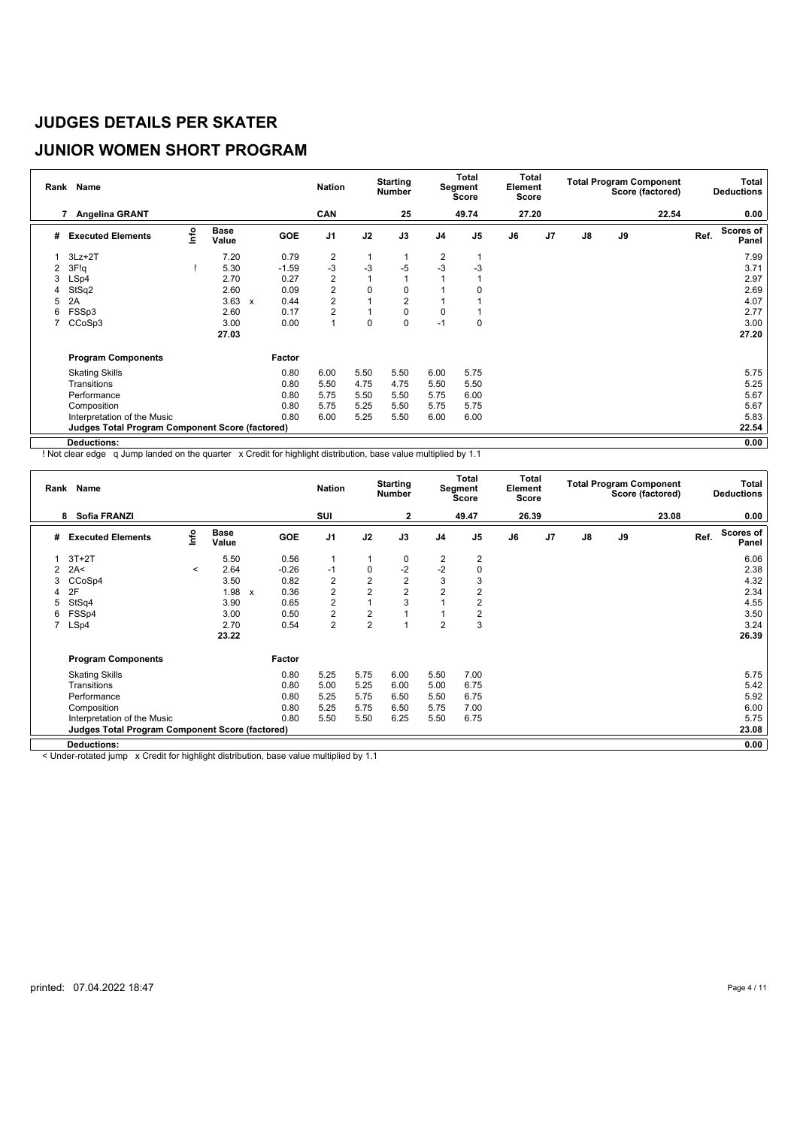## **JUNIOR WOMEN SHORT PROGRAM**

|                | Rank Name                                              |      |                      |              |            | <b>Nation</b>  |      | <b>Starting</b><br><b>Number</b> |                | Total<br>Segment<br>Score | Total<br>Element<br>Score |                |               |    | <b>Total Program Component</b><br>Score (factored) |      | Total<br><b>Deductions</b> |
|----------------|--------------------------------------------------------|------|----------------------|--------------|------------|----------------|------|----------------------------------|----------------|---------------------------|---------------------------|----------------|---------------|----|----------------------------------------------------|------|----------------------------|
|                | Angelina GRANT<br>7                                    |      |                      |              |            | CAN            |      | 25                               |                | 49.74                     | 27.20                     |                |               |    | 22.54                                              |      | 0.00                       |
| #              | <b>Executed Elements</b>                               | lnfo | <b>Base</b><br>Value |              | <b>GOE</b> | J <sub>1</sub> | J2   | J3                               | J <sub>4</sub> | J <sub>5</sub>            | J6                        | J <sub>7</sub> | $\mathsf{J}8$ | J9 |                                                    | Ref. | Scores of<br>Panel         |
|                | $3Lz + 2T$                                             |      | 7.20                 |              | 0.79       | 2              | 1    |                                  | 2              |                           |                           |                |               |    |                                                    |      | 7.99                       |
| $\overline{2}$ | 3F!q                                                   |      | 5.30                 |              | $-1.59$    | $-3$           | $-3$ | $-5$                             | $-3$           | $-3$                      |                           |                |               |    |                                                    |      | 3.71                       |
| 3              | LSp4                                                   |      | 2.70                 |              | 0.27       | $\overline{c}$ |      |                                  |                |                           |                           |                |               |    |                                                    |      | 2.97                       |
| 4              | StSq2                                                  |      | 2.60                 |              | 0.09       | $\overline{2}$ | 0    | 0                                |                |                           |                           |                |               |    |                                                    |      | 2.69                       |
| 5              | 2A                                                     |      | 3.63                 | $\mathbf{x}$ | 0.44       | $\overline{2}$ |      | $\overline{2}$                   |                |                           |                           |                |               |    |                                                    |      | 4.07                       |
| 6              | FSSp3                                                  |      | 2.60                 |              | 0.17       | $\overline{2}$ |      | 0                                | 0              |                           |                           |                |               |    |                                                    |      | 2.77                       |
|                | CCoSp3                                                 |      | 3.00                 |              | 0.00       | 1              | 0    | 0                                | $-1$           | $\mathbf 0$               |                           |                |               |    |                                                    |      | 3.00                       |
|                |                                                        |      | 27.03                |              |            |                |      |                                  |                |                           |                           |                |               |    |                                                    |      | 27.20                      |
|                | <b>Program Components</b>                              |      |                      |              | Factor     |                |      |                                  |                |                           |                           |                |               |    |                                                    |      |                            |
|                | <b>Skating Skills</b>                                  |      |                      |              | 0.80       | 6.00           | 5.50 | 5.50                             | 6.00           | 5.75                      |                           |                |               |    |                                                    |      | 5.75                       |
|                | Transitions                                            |      |                      |              | 0.80       | 5.50           | 4.75 | 4.75                             | 5.50           | 5.50                      |                           |                |               |    |                                                    |      | 5.25                       |
|                | Performance                                            |      |                      |              | 0.80       | 5.75           | 5.50 | 5.50                             | 5.75           | 6.00                      |                           |                |               |    |                                                    |      | 5.67                       |
|                | Composition                                            |      |                      |              | 0.80       | 5.75           | 5.25 | 5.50                             | 5.75           | 5.75                      |                           |                |               |    |                                                    |      | 5.67                       |
|                | Interpretation of the Music                            |      |                      |              | 0.80       | 6.00           | 5.25 | 5.50                             | 6.00           | 6.00                      |                           |                |               |    |                                                    |      | 5.83                       |
|                | <b>Judges Total Program Component Score (factored)</b> |      |                      |              |            |                |      |                                  |                |                           |                           |                |               |    |                                                    |      | 22.54                      |
|                | Deductions:                                            |      |                      |              |            |                |      |                                  |                |                           |                           |                |               |    |                                                    |      | 0.00                       |

! Not clear edge q Jump landed on the quarter x Credit for highlight distribution, base value multiplied by 1.1

|   | Rank Name                                              |         |                      |              |         | <b>Nation</b>  |                | <b>Starting</b><br>Number |                | Total<br>Segment<br>Score | Total<br>Element<br>Score |                |               |    | <b>Total Program Component</b><br>Score (factored) |      | <b>Total</b><br><b>Deductions</b> |
|---|--------------------------------------------------------|---------|----------------------|--------------|---------|----------------|----------------|---------------------------|----------------|---------------------------|---------------------------|----------------|---------------|----|----------------------------------------------------|------|-----------------------------------|
|   | Sofia FRANZI<br>8                                      |         |                      |              |         | SUI            |                | 2                         |                | 49.47                     | 26.39                     |                |               |    | 23.08                                              |      | 0.00                              |
| # | <b>Executed Elements</b>                               | ١nfo    | <b>Base</b><br>Value |              | GOE     | J <sub>1</sub> | J2             | J3                        | J <sub>4</sub> | J <sub>5</sub>            | J6                        | J <sub>7</sub> | $\mathsf{J}8$ | J9 |                                                    | Ref. | Scores of<br>Panel                |
|   | $3T+2T$                                                |         | 5.50                 |              | 0.56    |                |                | 0                         | 2              | $\overline{2}$            |                           |                |               |    |                                                    |      | 6.06                              |
|   | 2A<                                                    | $\,<\,$ | 2.64                 |              | $-0.26$ | $-1$           | 0              | $-2$                      | $-2$           | 0                         |                           |                |               |    |                                                    |      | 2.38                              |
| 3 | CCoSp4                                                 |         | 3.50                 |              | 0.82    | $\overline{2}$ | $\overline{2}$ | $\overline{2}$            | 3              | 3                         |                           |                |               |    |                                                    |      | 4.32                              |
| 4 | 2F                                                     |         | 1.98                 | $\mathbf{x}$ | 0.36    | 2              | $\overline{2}$ | $\overline{2}$            | $\overline{2}$ | $\overline{2}$            |                           |                |               |    |                                                    |      | 2.34                              |
| 5 | StSq4                                                  |         | 3.90                 |              | 0.65    | $\overline{c}$ |                | 3                         |                | $\overline{2}$            |                           |                |               |    |                                                    |      | 4.55                              |
| 6 | FSSp4                                                  |         | 3.00                 |              | 0.50    | 2              | $\overline{2}$ |                           |                | 2                         |                           |                |               |    |                                                    |      | 3.50                              |
| 7 | LSp4                                                   |         | 2.70                 |              | 0.54    | $\overline{c}$ | $\overline{2}$ |                           | $\overline{2}$ | 3                         |                           |                |               |    |                                                    |      | 3.24                              |
|   |                                                        |         | 23.22                |              |         |                |                |                           |                |                           |                           |                |               |    |                                                    |      | 26.39                             |
|   | <b>Program Components</b>                              |         |                      |              | Factor  |                |                |                           |                |                           |                           |                |               |    |                                                    |      |                                   |
|   | <b>Skating Skills</b>                                  |         |                      |              | 0.80    | 5.25           | 5.75           | 6.00                      | 5.50           | 7.00                      |                           |                |               |    |                                                    |      | 5.75                              |
|   | Transitions                                            |         |                      |              | 0.80    | 5.00           | 5.25           | 6.00                      | 5.00           | 6.75                      |                           |                |               |    |                                                    |      | 5.42                              |
|   | Performance                                            |         |                      |              | 0.80    | 5.25           | 5.75           | 6.50                      | 5.50           | 6.75                      |                           |                |               |    |                                                    |      | 5.92                              |
|   | Composition                                            |         |                      |              | 0.80    | 5.25           | 5.75           | 6.50                      | 5.75           | 7.00                      |                           |                |               |    |                                                    |      | 6.00                              |
|   | Interpretation of the Music                            |         |                      |              | 0.80    | 5.50           | 5.50           | 6.25                      | 5.50           | 6.75                      |                           |                |               |    |                                                    |      | 5.75                              |
|   | <b>Judges Total Program Component Score (factored)</b> |         |                      |              |         |                |                |                           |                |                           |                           |                |               |    |                                                    |      | 23.08                             |
|   | Deductions:                                            |         |                      |              |         |                |                |                           |                |                           |                           |                |               |    |                                                    |      | 0.00                              |

< Under-rotated jump x Credit for highlight distribution, base value multiplied by 1.1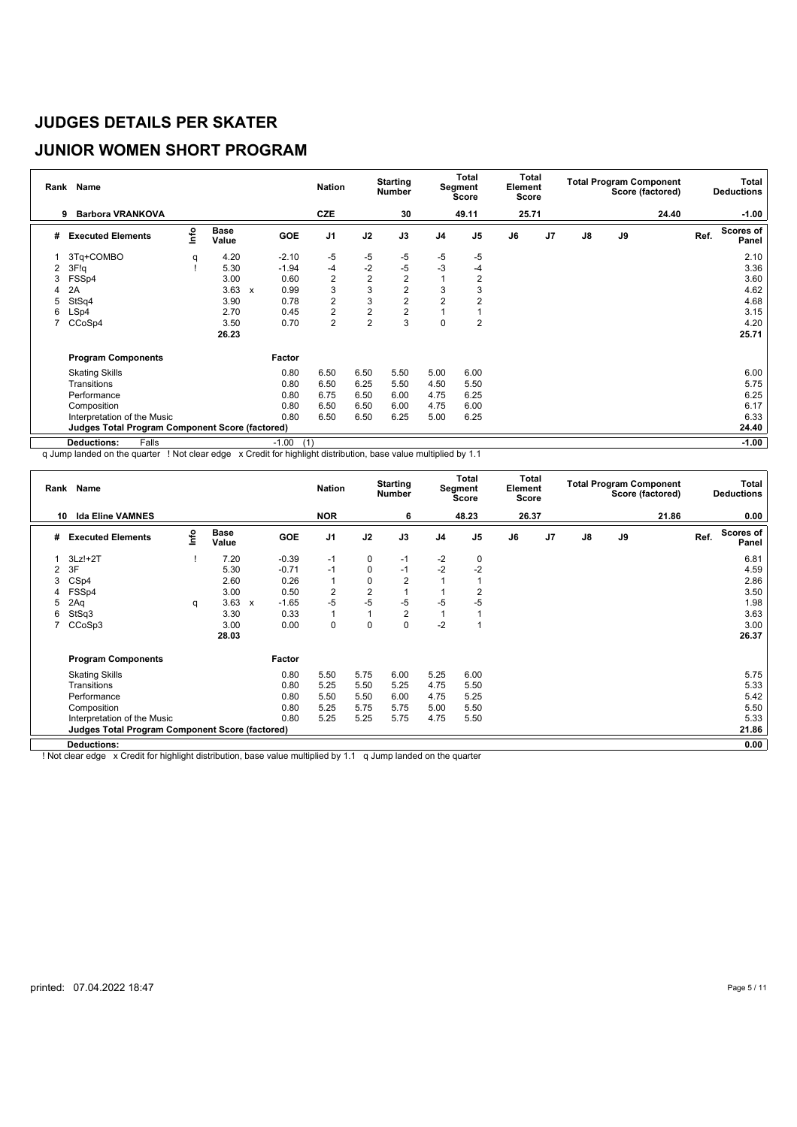# **JUNIOR WOMEN SHORT PROGRAM**

|   | Rank Name                                       |      |                      |              |                | <b>Nation</b>  |                | <b>Starting</b><br><b>Number</b> |                | <b>Total</b><br>Segment<br>Score | Total<br>Element<br>Score |    |               |    | <b>Total Program Component</b><br>Score (factored) |      | Total<br><b>Deductions</b> |
|---|-------------------------------------------------|------|----------------------|--------------|----------------|----------------|----------------|----------------------------------|----------------|----------------------------------|---------------------------|----|---------------|----|----------------------------------------------------|------|----------------------------|
|   | <b>Barbora VRANKOVA</b><br>9                    |      |                      |              |                | <b>CZE</b>     |                | 30                               |                | 49.11                            | 25.71                     |    |               |    | 24.40                                              |      | $-1.00$                    |
| # | <b>Executed Elements</b>                        | Info | <b>Base</b><br>Value |              | <b>GOE</b>     | J <sub>1</sub> | J2             | J3                               | J <sub>4</sub> | J <sub>5</sub>                   | J6                        | J7 | $\mathsf{J}8$ | J9 |                                                    | Ref. | <b>Scores of</b><br>Panel  |
|   | 3Tq+COMBO                                       | q    | 4.20                 |              | $-2.10$        | $-5$           | $-5$           | $-5$                             | $-5$           | -5                               |                           |    |               |    |                                                    |      | 2.10                       |
| 2 | 3F!q                                            |      | 5.30                 |              | $-1.94$        | -4             | $-2$           | $-5$                             | $-3$           | -4                               |                           |    |               |    |                                                    |      | 3.36                       |
| 3 | FSS <sub>p4</sub>                               |      | 3.00                 |              | 0.60           | $\overline{2}$ | $\overline{2}$ | $\overline{2}$                   |                | $\overline{2}$                   |                           |    |               |    |                                                    |      | 3.60                       |
| 4 | 2A                                              |      | 3.63                 | $\mathbf{x}$ | 0.99           | 3              | 3              | $\overline{2}$                   | 3              | 3                                |                           |    |               |    |                                                    |      | 4.62                       |
| 5 | StSq4                                           |      | 3.90                 |              | 0.78           | $\overline{2}$ | 3              | $\overline{2}$                   | $\overline{2}$ | $\overline{2}$                   |                           |    |               |    |                                                    |      | 4.68                       |
| 6 | LSp4                                            |      | 2.70                 |              | 0.45           | $\overline{2}$ | $\overline{2}$ | $\overline{2}$                   |                |                                  |                           |    |               |    |                                                    |      | 3.15                       |
|   | CCoSp4                                          |      | 3.50                 |              | 0.70           | $\overline{2}$ | $\overline{2}$ | 3                                | $\mathbf 0$    | $\overline{2}$                   |                           |    |               |    |                                                    |      | 4.20                       |
|   |                                                 |      | 26.23                |              |                |                |                |                                  |                |                                  |                           |    |               |    |                                                    |      | 25.71                      |
|   | <b>Program Components</b>                       |      |                      |              | Factor         |                |                |                                  |                |                                  |                           |    |               |    |                                                    |      |                            |
|   | <b>Skating Skills</b>                           |      |                      |              | 0.80           | 6.50           | 6.50           | 5.50                             | 5.00           | 6.00                             |                           |    |               |    |                                                    |      | 6.00                       |
|   | Transitions                                     |      |                      |              | 0.80           | 6.50           | 6.25           | 5.50                             | 4.50           | 5.50                             |                           |    |               |    |                                                    |      | 5.75                       |
|   | Performance                                     |      |                      |              | 0.80           | 6.75           | 6.50           | 6.00                             | 4.75           | 6.25                             |                           |    |               |    |                                                    |      | 6.25                       |
|   | Composition                                     |      |                      |              | 0.80           | 6.50           | 6.50           | 6.00                             | 4.75           | 6.00                             |                           |    |               |    |                                                    |      | 6.17                       |
|   | Interpretation of the Music                     |      |                      |              | 0.80           | 6.50           | 6.50           | 6.25                             | 5.00           | 6.25                             |                           |    |               |    |                                                    |      | 6.33                       |
|   | Judges Total Program Component Score (factored) |      |                      |              |                |                |                |                                  |                |                                  |                           |    |               |    |                                                    |      | 24.40                      |
|   | Falls<br><b>Deductions:</b>                     |      |                      |              | $-1.00$<br>(1) |                |                |                                  |                |                                  |                           |    |               |    |                                                    |      | $-1.00$                    |

q Jump landed on the quarter ! Not clear edge x Credit for highlight distribution, base value multiplied by 1.1

|    | Rank Name                                              |      |                      |                           |         | <b>Nation</b>  |                | <b>Starting</b><br><b>Number</b> |                | Total<br>Segment<br><b>Score</b> | Total<br>Element<br><b>Score</b> |    |               |    | <b>Total Program Component</b><br>Score (factored) |      | Total<br><b>Deductions</b> |
|----|--------------------------------------------------------|------|----------------------|---------------------------|---------|----------------|----------------|----------------------------------|----------------|----------------------------------|----------------------------------|----|---------------|----|----------------------------------------------------|------|----------------------------|
| 10 | <b>Ida Eline VAMNES</b>                                |      |                      |                           |         | <b>NOR</b>     |                | 6                                |                | 48.23                            | 26.37                            |    |               |    | 21.86                                              |      | 0.00                       |
| #  | <b>Executed Elements</b>                               | lnfo | <b>Base</b><br>Value |                           | GOE     | J <sub>1</sub> | J2             | J3                               | J <sub>4</sub> | J <sub>5</sub>                   | J6                               | J7 | $\mathsf{J}8$ | J9 |                                                    | Ref. | <b>Scores of</b><br>Panel  |
|    | $3Lz!+2T$                                              |      | 7.20                 |                           | $-0.39$ | $-1$           | 0              | $-1$                             | $-2$           | 0                                |                                  |    |               |    |                                                    |      | 6.81                       |
| 2  | 3F                                                     |      | 5.30                 |                           | $-0.71$ | $-1$           | $\mathbf 0$    | $-1$                             | $-2$           | $-2$                             |                                  |    |               |    |                                                    |      | 4.59                       |
| 3  | CS <sub>p4</sub>                                       |      | 2.60                 |                           | 0.26    | $\mathbf{1}$   | $\mathbf 0$    | $\overline{2}$                   |                |                                  |                                  |    |               |    |                                                    |      | 2.86                       |
| 4  | FSSp4                                                  |      | 3.00                 |                           | 0.50    | $\overline{2}$ | $\overline{2}$ |                                  |                | 2                                |                                  |    |               |    |                                                    |      | 3.50                       |
| 5  | 2Aq                                                    | q    | 3.63                 | $\boldsymbol{\mathsf{x}}$ | $-1.65$ | $-5$           | $-5$           | $-5$                             | $-5$           | $-5$                             |                                  |    |               |    |                                                    |      | 1.98                       |
| 6  | StSq3                                                  |      | 3.30                 |                           | 0.33    | $\mathbf{1}$   | $\mathbf{1}$   | 2                                |                |                                  |                                  |    |               |    |                                                    |      | 3.63                       |
|    | CCoSp3                                                 |      | 3.00                 |                           | 0.00    | $\mathbf 0$    | $\mathbf 0$    | $\mathbf 0$                      | $-2$           |                                  |                                  |    |               |    |                                                    |      | 3.00                       |
|    |                                                        |      | 28.03                |                           |         |                |                |                                  |                |                                  |                                  |    |               |    |                                                    |      | 26.37                      |
|    | <b>Program Components</b>                              |      |                      |                           | Factor  |                |                |                                  |                |                                  |                                  |    |               |    |                                                    |      |                            |
|    | <b>Skating Skills</b>                                  |      |                      |                           | 0.80    | 5.50           | 5.75           | 6.00                             | 5.25           | 6.00                             |                                  |    |               |    |                                                    |      | 5.75                       |
|    | Transitions                                            |      |                      |                           | 0.80    | 5.25           | 5.50           | 5.25                             | 4.75           | 5.50                             |                                  |    |               |    |                                                    |      | 5.33                       |
|    | Performance                                            |      |                      |                           | 0.80    | 5.50           | 5.50           | 6.00                             | 4.75           | 5.25                             |                                  |    |               |    |                                                    |      | 5.42                       |
|    | Composition                                            |      |                      |                           | 0.80    | 5.25           | 5.75           | 5.75                             | 5.00           | 5.50                             |                                  |    |               |    |                                                    |      | 5.50                       |
|    | Interpretation of the Music                            |      |                      |                           | 0.80    | 5.25           | 5.25           | 5.75                             | 4.75           | 5.50                             |                                  |    |               |    |                                                    |      | 5.33                       |
|    | <b>Judges Total Program Component Score (factored)</b> |      |                      |                           |         |                |                |                                  |                |                                  |                                  |    |               |    |                                                    |      | 21.86                      |
|    | Deductions:                                            |      |                      |                           |         |                |                |                                  |                |                                  |                                  |    |               |    |                                                    |      | 0.00                       |

! Not clear edge x Credit for highlight distribution, base value multiplied by 1.1 q Jump landed on the quarter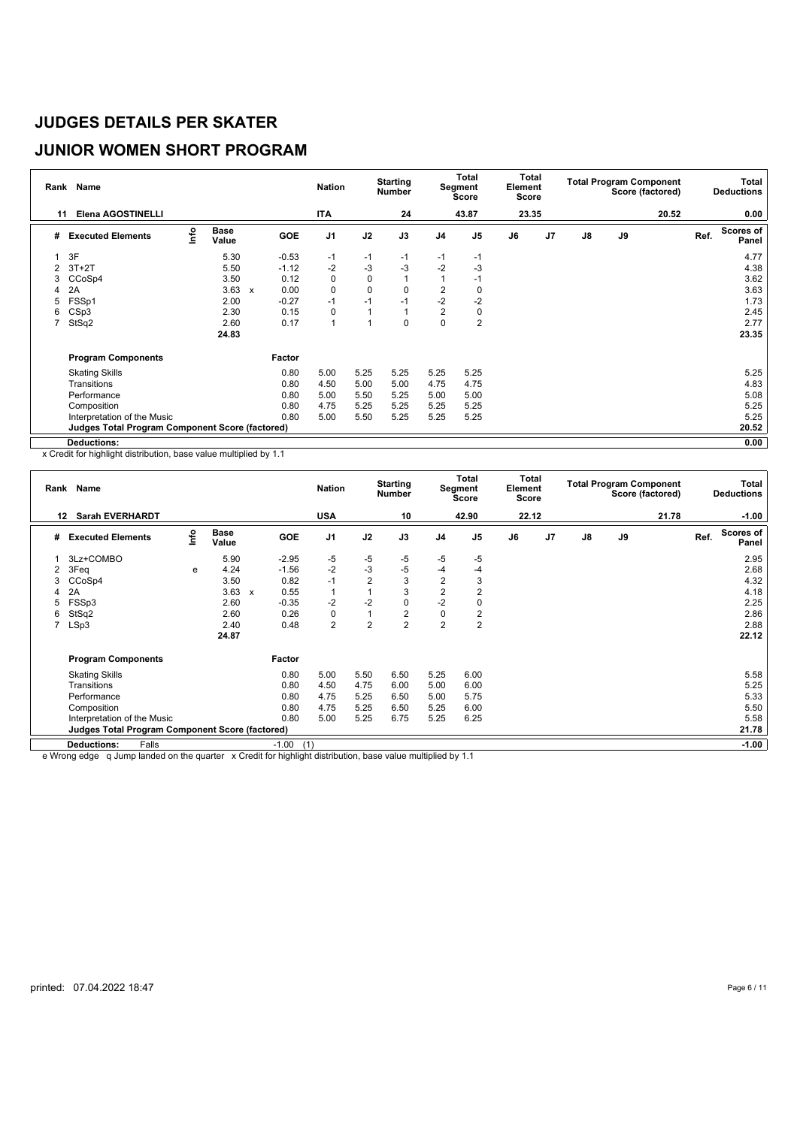# **JUNIOR WOMEN SHORT PROGRAM**

|                | Rank Name                                              |      |                      |              |            | <b>Nation</b>  |              | <b>Starting</b><br>Number |                | <b>Total</b><br>Segment<br><b>Score</b> | Total<br>Element<br>Score |    |               |    | <b>Total Program Component</b><br>Score (factored) |      | Total<br><b>Deductions</b> |
|----------------|--------------------------------------------------------|------|----------------------|--------------|------------|----------------|--------------|---------------------------|----------------|-----------------------------------------|---------------------------|----|---------------|----|----------------------------------------------------|------|----------------------------|
| 11             | <b>Elena AGOSTINELLI</b>                               |      |                      |              |            | <b>ITA</b>     |              | 24                        |                | 43.87                                   | 23.35                     |    |               |    | 20.52                                              |      | 0.00                       |
| #              | <b>Executed Elements</b>                               | lnfo | <b>Base</b><br>Value |              | <b>GOE</b> | J <sub>1</sub> | J2           | J3                        | J <sub>4</sub> | J <sub>5</sub>                          | J6                        | J7 | $\mathsf{J}8$ | J9 |                                                    | Ref. | Scores of<br>Panel         |
| 1              | 3F                                                     |      | 5.30                 |              | $-0.53$    | $-1$           | $-1$         | $-1$                      | $-1$           | $-1$                                    |                           |    |               |    |                                                    |      | 4.77                       |
| $\overline{2}$ | $3T+2T$                                                |      | 5.50                 |              | $-1.12$    | $-2$           | $-3$         | $-3$                      | $-2$           | $-3$                                    |                           |    |               |    |                                                    |      | 4.38                       |
| 3              | CCoSp4                                                 |      | 3.50                 |              | 0.12       | 0              | $\mathbf 0$  |                           |                | $-1$                                    |                           |    |               |    |                                                    |      | 3.62                       |
| 4              | 2A                                                     |      | 3.63                 | $\mathsf{x}$ | 0.00       | $\pmb{0}$      | $\mathbf 0$  | 0                         | $\overline{2}$ | 0                                       |                           |    |               |    |                                                    |      | 3.63                       |
| 5              | FSSp1                                                  |      | 2.00                 |              | $-0.27$    | $-1$           | $-1$         | $-1$                      | $-2$           | $-2$                                    |                           |    |               |    |                                                    |      | 1.73                       |
| 6              | CSp3                                                   |      | 2.30                 |              | 0.15       | 0              | $\mathbf{1}$ |                           | $\overline{c}$ | 0                                       |                           |    |               |    |                                                    |      | 2.45                       |
|                | StSq2                                                  |      | 2.60                 |              | 0.17       | $\mathbf{1}$   | 1            | 0                         | $\mathbf 0$    | $\overline{2}$                          |                           |    |               |    |                                                    |      | 2.77                       |
|                |                                                        |      | 24.83                |              |            |                |              |                           |                |                                         |                           |    |               |    |                                                    |      | 23.35                      |
|                | <b>Program Components</b>                              |      |                      |              | Factor     |                |              |                           |                |                                         |                           |    |               |    |                                                    |      |                            |
|                | <b>Skating Skills</b>                                  |      |                      |              | 0.80       | 5.00           | 5.25         | 5.25                      | 5.25           | 5.25                                    |                           |    |               |    |                                                    |      | 5.25                       |
|                | Transitions                                            |      |                      |              | 0.80       | 4.50           | 5.00         | 5.00                      | 4.75           | 4.75                                    |                           |    |               |    |                                                    |      | 4.83                       |
|                | Performance                                            |      |                      |              | 0.80       | 5.00           | 5.50         | 5.25                      | 5.00           | 5.00                                    |                           |    |               |    |                                                    |      | 5.08                       |
|                | Composition                                            |      |                      |              | 0.80       | 4.75           | 5.25         | 5.25                      | 5.25           | 5.25                                    |                           |    |               |    |                                                    |      | 5.25                       |
|                | Interpretation of the Music                            |      |                      |              | 0.80       | 5.00           | 5.50         | 5.25                      | 5.25           | 5.25                                    |                           |    |               |    |                                                    |      | 5.25                       |
|                | <b>Judges Total Program Component Score (factored)</b> |      |                      |              |            |                |              |                           |                |                                         |                           |    |               |    |                                                    |      | 20.52                      |
|                | Deductions:                                            |      |                      |              |            |                |              |                           |                |                                         |                           |    |               |    |                                                    |      | 0.00                       |

x Credit for highlight distribution, base value multiplied by 1.1

|                  | Rank Name                                              |      |               |                           |                | <b>Nation</b>  |                | <b>Starting</b><br><b>Number</b> |                | Total<br>Segment<br><b>Score</b> | Total<br>Element<br><b>Score</b> |                |               |    | <b>Total Program Component</b><br>Score (factored) |      | Total<br><b>Deductions</b> |
|------------------|--------------------------------------------------------|------|---------------|---------------------------|----------------|----------------|----------------|----------------------------------|----------------|----------------------------------|----------------------------------|----------------|---------------|----|----------------------------------------------------|------|----------------------------|
| 12 <sup>12</sup> | <b>Sarah EVERHARDT</b>                                 |      |               |                           |                | <b>USA</b>     |                | 10                               |                | 42.90                            | 22.12                            |                |               |    | 21.78                                              |      | $-1.00$                    |
| #                | <b>Executed Elements</b>                               | lnfo | Base<br>Value |                           | GOE            | J <sub>1</sub> | J2             | J3                               | J <sub>4</sub> | J <sub>5</sub>                   | J6                               | J <sub>7</sub> | $\mathsf{J}8$ | J9 |                                                    | Ref. | <b>Scores of</b><br>Panel  |
|                  | 3Lz+COMBO                                              |      | 5.90          |                           | $-2.95$        | -5             | $-5$           | $-5$                             | -5             | -5                               |                                  |                |               |    |                                                    |      | 2.95                       |
| 2                | 3Feq                                                   | e    | 4.24          |                           | $-1.56$        | $-2$           | $-3$           | $-5$                             | $-4$           | -4                               |                                  |                |               |    |                                                    |      | 2.68                       |
| 3                | CCoSp4                                                 |      | 3.50          |                           | 0.82           | $-1$           | $\overline{2}$ | 3                                | $\overline{2}$ | 3                                |                                  |                |               |    |                                                    |      | 4.32                       |
| 4                | 2A                                                     |      | 3.63          | $\boldsymbol{\mathsf{x}}$ | 0.55           | $\overline{1}$ |                | 3                                | $\overline{2}$ | 2                                |                                  |                |               |    |                                                    |      | 4.18                       |
| 5                | FSS <sub>p3</sub>                                      |      | 2.60          |                           | $-0.35$        | $-2$           | $-2$           | 0                                | $-2$           |                                  |                                  |                |               |    |                                                    |      | 2.25                       |
| 6                | StSq2                                                  |      | 2.60          |                           | 0.26           | 0              | 1              | $\overline{2}$                   | 0              | 2                                |                                  |                |               |    |                                                    |      | 2.86                       |
|                  | LSp3                                                   |      | 2.40          |                           | 0.48           | $\overline{2}$ | $\overline{2}$ | $\overline{2}$                   | $\overline{2}$ | $\overline{2}$                   |                                  |                |               |    |                                                    |      | 2.88                       |
|                  |                                                        |      | 24.87         |                           |                |                |                |                                  |                |                                  |                                  |                |               |    |                                                    |      | 22.12                      |
|                  | <b>Program Components</b>                              |      |               |                           | Factor         |                |                |                                  |                |                                  |                                  |                |               |    |                                                    |      |                            |
|                  | <b>Skating Skills</b>                                  |      |               |                           | 0.80           | 5.00           | 5.50           | 6.50                             | 5.25           | 6.00                             |                                  |                |               |    |                                                    |      | 5.58                       |
|                  | Transitions                                            |      |               |                           | 0.80           | 4.50           | 4.75           | 6.00                             | 5.00           | 6.00                             |                                  |                |               |    |                                                    |      | 5.25                       |
|                  | Performance                                            |      |               |                           | 0.80           | 4.75           | 5.25           | 6.50                             | 5.00           | 5.75                             |                                  |                |               |    |                                                    |      | 5.33                       |
|                  | Composition                                            |      |               |                           | 0.80           | 4.75           | 5.25           | 6.50                             | 5.25           | 6.00                             |                                  |                |               |    |                                                    |      | 5.50                       |
|                  | Interpretation of the Music                            |      |               |                           | 0.80           | 5.00           | 5.25           | 6.75                             | 5.25           | 6.25                             |                                  |                |               |    |                                                    |      | 5.58                       |
|                  | <b>Judges Total Program Component Score (factored)</b> |      |               |                           |                |                |                |                                  |                |                                  |                                  |                |               |    |                                                    |      | 21.78                      |
|                  | Falls<br><b>Deductions:</b>                            |      |               |                           | $-1.00$<br>(1) |                |                |                                  |                |                                  |                                  |                |               |    |                                                    |      | $-1.00$                    |

e Wrong edge q Jump landed on the quarter x Credit for highlight distribution, base value multiplied by 1.1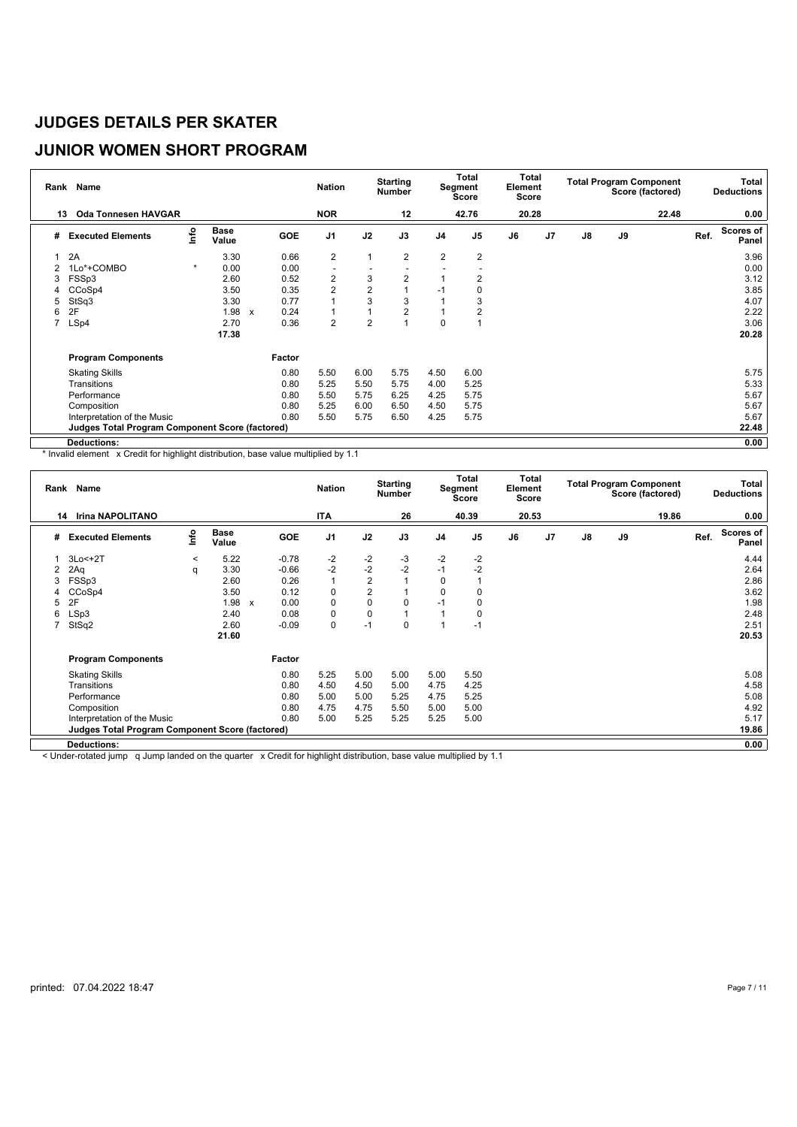# **JUNIOR WOMEN SHORT PROGRAM**

| Rank           | Name                                            |         |                      |                          | <b>Nation</b>            |                | <b>Starting</b><br>Number |                | Total<br>Segment<br>Score | Total<br>Element<br><b>Score</b> |                |               |    | <b>Total Program Component</b><br>Score (factored) |      | <b>Total</b><br><b>Deductions</b> |
|----------------|-------------------------------------------------|---------|----------------------|--------------------------|--------------------------|----------------|---------------------------|----------------|---------------------------|----------------------------------|----------------|---------------|----|----------------------------------------------------|------|-----------------------------------|
| 13             | <b>Oda Tonnesen HAVGAR</b>                      |         |                      |                          | <b>NOR</b>               |                | 12                        |                | 42.76                     | 20.28                            |                |               |    | 22.48                                              |      | 0.00                              |
| #              | <b>Executed Elements</b>                        | Info    | <b>Base</b><br>Value | <b>GOE</b>               | J <sub>1</sub>           | J2             | J3                        | J <sub>4</sub> | J <sub>5</sub>            | J6                               | J <sub>7</sub> | $\mathsf{J}8$ | J9 |                                                    | Ref. | Scores of<br>Panel                |
|                | 2A                                              |         | 3.30                 | 0.66                     | $\overline{2}$           | $\mathbf{1}$   | $\overline{2}$            | $\overline{2}$ | 2                         |                                  |                |               |    |                                                    |      | 3.96                              |
| $\overline{2}$ | 1Lo*+COMBO                                      | $\star$ | 0.00                 | 0.00                     | $\overline{\phantom{a}}$ |                |                           |                |                           |                                  |                |               |    |                                                    |      | 0.00                              |
| 3              | FSSp3                                           |         | 2.60                 | 0.52                     | 2                        | 3              | $\overline{2}$            |                | 2                         |                                  |                |               |    |                                                    |      | 3.12                              |
| 4              | CCoSp4                                          |         | 3.50                 | 0.35                     | $\overline{2}$           | $\overline{2}$ |                           | $-1$           |                           |                                  |                |               |    |                                                    |      | 3.85                              |
| 5              | StSq3                                           |         | 3.30                 | 0.77                     | $\mathbf{1}$             | 3              | 3                         |                | 3                         |                                  |                |               |    |                                                    |      | 4.07                              |
| 6              | 2F                                              |         | 1.98                 | 0.24<br>$\boldsymbol{x}$ | $\mathbf{1}$             |                | $\overline{2}$            |                | 2                         |                                  |                |               |    |                                                    |      | 2.22                              |
| 7              | LSp4                                            |         | 2.70                 | 0.36                     | 2                        | $\overline{2}$ |                           | $\mathbf 0$    |                           |                                  |                |               |    |                                                    |      | 3.06                              |
|                |                                                 |         | 17.38                |                          |                          |                |                           |                |                           |                                  |                |               |    |                                                    |      | 20.28                             |
|                | <b>Program Components</b>                       |         |                      | Factor                   |                          |                |                           |                |                           |                                  |                |               |    |                                                    |      |                                   |
|                | <b>Skating Skills</b>                           |         |                      | 0.80                     | 5.50                     | 6.00           | 5.75                      | 4.50           | 6.00                      |                                  |                |               |    |                                                    |      | 5.75                              |
|                | Transitions                                     |         |                      | 0.80                     | 5.25                     | 5.50           | 5.75                      | 4.00           | 5.25                      |                                  |                |               |    |                                                    |      | 5.33                              |
|                | Performance                                     |         |                      | 0.80                     | 5.50                     | 5.75           | 6.25                      | 4.25           | 5.75                      |                                  |                |               |    |                                                    |      | 5.67                              |
|                | Composition                                     |         |                      | 0.80                     | 5.25                     | 6.00           | 6.50                      | 4.50           | 5.75                      |                                  |                |               |    |                                                    |      | 5.67                              |
|                | Interpretation of the Music                     |         |                      | 0.80                     | 5.50                     | 5.75           | 6.50                      | 4.25           | 5.75                      |                                  |                |               |    |                                                    |      | 5.67                              |
|                | Judges Total Program Component Score (factored) |         |                      |                          |                          |                |                           |                |                           |                                  |                |               |    |                                                    |      | 22.48                             |
|                | <b>Deductions:</b>                              |         |                      |                          |                          |                |                           |                |                           |                                  |                |               |    |                                                    |      | 0.00                              |

\* Invalid element x Credit for highlight distribution, base value multiplied by 1.1

|   | Rank Name                                              |                           |                      |              |            | <b>Nation</b>  |                | <b>Starting</b><br><b>Number</b> |                | Total<br>Segment<br>Score | Total<br>Element<br>Score |    |    |    | <b>Total Program Component</b><br>Score (factored) |      | Total<br><b>Deductions</b> |
|---|--------------------------------------------------------|---------------------------|----------------------|--------------|------------|----------------|----------------|----------------------------------|----------------|---------------------------|---------------------------|----|----|----|----------------------------------------------------|------|----------------------------|
|   | <b>Irina NAPOLITANO</b><br>14                          |                           |                      |              |            | <b>ITA</b>     |                | 26                               |                | 40.39                     | 20.53                     |    |    |    | 19.86                                              |      | 0.00                       |
| # | <b>Executed Elements</b>                               | $\mathsf{Int} \mathsf{o}$ | <b>Base</b><br>Value |              | <b>GOE</b> | J <sub>1</sub> | J2             | J3                               | J <sub>4</sub> | J <sub>5</sub>            | J6                        | J7 | J8 | J9 |                                                    | Ref. | <b>Scores of</b><br>Panel  |
|   | $3Lo < +2T$                                            | $\prec$                   | 5.22                 |              | $-0.78$    | $-2$           | $-2$           | $-3$                             | $-2$           | $-2$                      |                           |    |    |    |                                                    |      | 4.44                       |
| 2 | 2Aq                                                    | q                         | 3.30                 |              | $-0.66$    | $-2$           | $-2$           | $-2$                             | $-1$           | $-2$                      |                           |    |    |    |                                                    |      | 2.64                       |
|   | FSSp3                                                  |                           | 2.60                 |              | 0.26       |                | $\overline{c}$ |                                  | 0              |                           |                           |    |    |    |                                                    |      | 2.86                       |
|   | CCoSp4                                                 |                           | 3.50                 |              | 0.12       | 0              | $\overline{2}$ |                                  | 0              | 0                         |                           |    |    |    |                                                    |      | 3.62                       |
| 5 | 2F                                                     |                           | 1.98                 | $\mathbf{x}$ | 0.00       | 0              | 0              | 0                                | $-1$           | 0                         |                           |    |    |    |                                                    |      | 1.98                       |
| 6 | LSp3                                                   |                           | 2.40                 |              | 0.08       | 0              | 0              |                                  |                | 0                         |                           |    |    |    |                                                    |      | 2.48                       |
| 7 | StSq2                                                  |                           | 2.60                 |              | $-0.09$    | $\pmb{0}$      | $-1$           | 0                                |                | $-1$                      |                           |    |    |    |                                                    |      | 2.51                       |
|   |                                                        |                           | 21.60                |              |            |                |                |                                  |                |                           |                           |    |    |    |                                                    |      | 20.53                      |
|   | <b>Program Components</b>                              |                           |                      |              | Factor     |                |                |                                  |                |                           |                           |    |    |    |                                                    |      |                            |
|   | <b>Skating Skills</b>                                  |                           |                      |              | 0.80       | 5.25           | 5.00           | 5.00                             | 5.00           | 5.50                      |                           |    |    |    |                                                    |      | 5.08                       |
|   | Transitions                                            |                           |                      |              | 0.80       | 4.50           | 4.50           | 5.00                             | 4.75           | 4.25                      |                           |    |    |    |                                                    |      | 4.58                       |
|   | Performance                                            |                           |                      |              | 0.80       | 5.00           | 5.00           | 5.25                             | 4.75           | 5.25                      |                           |    |    |    |                                                    |      | 5.08                       |
|   | Composition                                            |                           |                      |              | 0.80       | 4.75           | 4.75           | 5.50                             | 5.00           | 5.00                      |                           |    |    |    |                                                    |      | 4.92                       |
|   | Interpretation of the Music                            |                           |                      |              | 0.80       | 5.00           | 5.25           | 5.25                             | 5.25           | 5.00                      |                           |    |    |    |                                                    |      | 5.17                       |
|   | <b>Judges Total Program Component Score (factored)</b> |                           |                      |              |            |                |                |                                  |                |                           |                           |    |    |    |                                                    |      | 19.86                      |
|   | Deductions:                                            |                           |                      |              |            |                |                |                                  |                |                           |                           |    |    |    |                                                    |      | 0.00                       |

< Under-rotated jump q Jump landed on the quarter x Credit for highlight distribution, base value multiplied by 1.1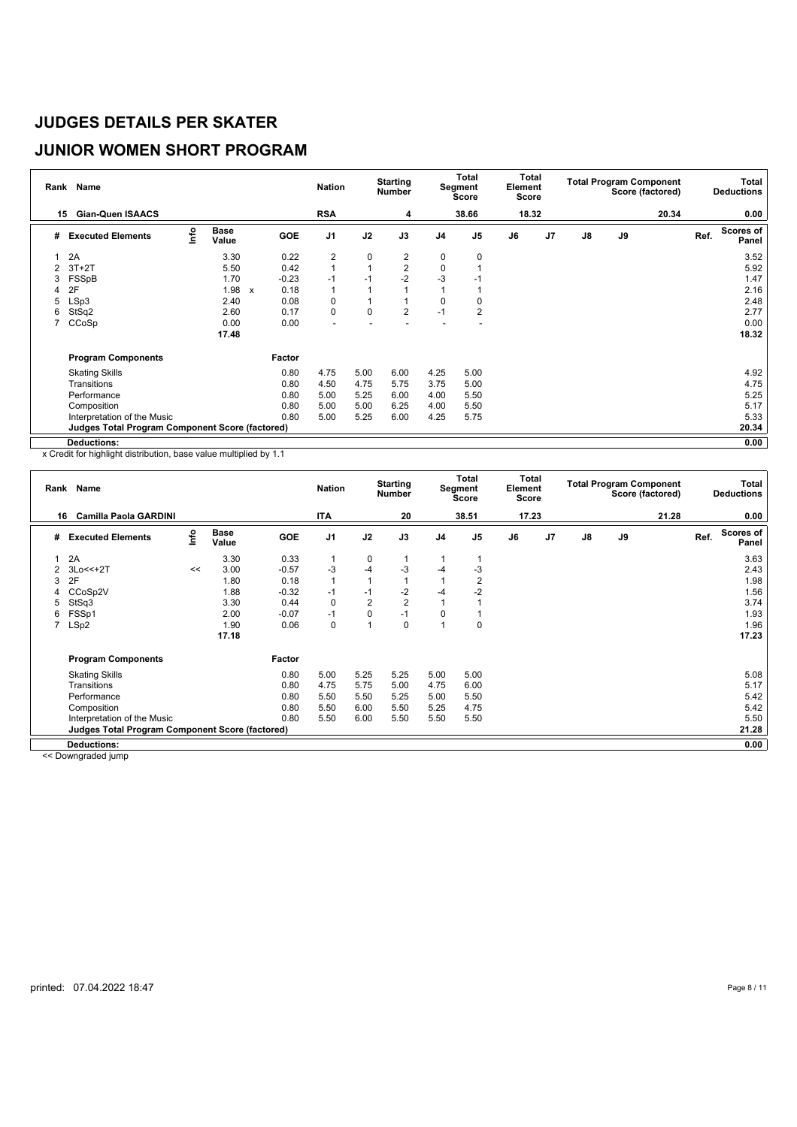# **JUNIOR WOMEN SHORT PROGRAM**

|                | Rank Name                                              |      |                      |              |            | <b>Nation</b>  |              | <b>Starting</b><br><b>Number</b> |                | <b>Total</b><br>Segment<br><b>Score</b> | Total<br>Element<br>Score |    |               |    | <b>Total Program Component</b><br>Score (factored) |      | Total<br><b>Deductions</b> |
|----------------|--------------------------------------------------------|------|----------------------|--------------|------------|----------------|--------------|----------------------------------|----------------|-----------------------------------------|---------------------------|----|---------------|----|----------------------------------------------------|------|----------------------------|
| 15             | <b>Gian-Quen ISAACS</b>                                |      |                      |              |            | <b>RSA</b>     |              | 4                                |                | 38.66                                   | 18.32                     |    |               |    | 20.34                                              |      | 0.00                       |
| #              | <b>Executed Elements</b>                               | lnfo | <b>Base</b><br>Value |              | <b>GOE</b> | J <sub>1</sub> | J2           | J3                               | J <sub>4</sub> | J <sub>5</sub>                          | J6                        | J7 | $\mathsf{J}8$ | J9 |                                                    | Ref. | Scores of<br>Panel         |
|                | 2A                                                     |      | 3.30                 |              | 0.22       | $\overline{2}$ | 0            | 2                                | 0              | 0                                       |                           |    |               |    |                                                    |      | 3.52                       |
| $\overline{2}$ | $3T+2T$                                                |      | 5.50                 |              | 0.42       | $\mathbf{1}$   | $\mathbf{1}$ | $\overline{2}$                   | $\mathbf 0$    |                                         |                           |    |               |    |                                                    |      | 5.92                       |
| 3              | FSSpB                                                  |      | 1.70                 |              | $-0.23$    | $-1$           | $-1$         | $-2$                             | $-3$           | -1                                      |                           |    |               |    |                                                    |      | 1.47                       |
| 4              | 2F                                                     |      | 1.98                 | $\mathsf{x}$ | 0.18       | 1              |              |                                  |                |                                         |                           |    |               |    |                                                    |      | 2.16                       |
| 5              | LSp3                                                   |      | 2.40                 |              | 0.08       | 0              | 1            |                                  | 0              | 0                                       |                           |    |               |    |                                                    |      | 2.48                       |
| 6              | StSq2                                                  |      | 2.60                 |              | 0.17       | $\mathbf 0$    | $\mathbf 0$  | $\overline{2}$                   | $-1$           | $\overline{2}$                          |                           |    |               |    |                                                    |      | 2.77                       |
|                | CCoSp                                                  |      | 0.00                 |              | 0.00       |                |              |                                  |                |                                         |                           |    |               |    |                                                    |      | 0.00                       |
|                |                                                        |      | 17.48                |              |            |                |              |                                  |                |                                         |                           |    |               |    |                                                    |      | 18.32                      |
|                | <b>Program Components</b>                              |      |                      |              | Factor     |                |              |                                  |                |                                         |                           |    |               |    |                                                    |      |                            |
|                | <b>Skating Skills</b>                                  |      |                      |              | 0.80       | 4.75           | 5.00         | 6.00                             | 4.25           | 5.00                                    |                           |    |               |    |                                                    |      | 4.92                       |
|                | Transitions                                            |      |                      |              | 0.80       | 4.50           | 4.75         | 5.75                             | 3.75           | 5.00                                    |                           |    |               |    |                                                    |      | 4.75                       |
|                | Performance                                            |      |                      |              | 0.80       | 5.00           | 5.25         | 6.00                             | 4.00           | 5.50                                    |                           |    |               |    |                                                    |      | 5.25                       |
|                | Composition                                            |      |                      |              | 0.80       | 5.00           | 5.00         | 6.25                             | 4.00           | 5.50                                    |                           |    |               |    |                                                    |      | 5.17                       |
|                | Interpretation of the Music                            |      |                      |              | 0.80       | 5.00           | 5.25         | 6.00                             | 4.25           | 5.75                                    |                           |    |               |    |                                                    |      | 5.33                       |
|                | <b>Judges Total Program Component Score (factored)</b> |      |                      |              |            |                |              |                                  |                |                                         |                           |    |               |    |                                                    |      | 20.34                      |
|                | Deductions:                                            |      |                      |              |            |                |              |                                  |                |                                         |                           |    |               |    |                                                    |      | 0.00                       |

x Credit for highlight distribution, base value multiplied by 1.1

| Rank | <b>Name</b>                                            |      |                      |         | <b>Nation</b>  |                | <b>Starting</b><br><b>Number</b> |                | <b>Total</b><br>Segment<br>Score | Total<br>Element<br><b>Score</b> |                |               |    | <b>Total Program Component</b><br>Score (factored) |      | Total<br><b>Deductions</b> |
|------|--------------------------------------------------------|------|----------------------|---------|----------------|----------------|----------------------------------|----------------|----------------------------------|----------------------------------|----------------|---------------|----|----------------------------------------------------|------|----------------------------|
| 16.  | <b>Camilla Paola GARDINI</b>                           |      |                      |         | <b>ITA</b>     |                | 20                               |                | 38.51                            | 17.23                            |                |               |    | 21.28                                              |      | 0.00                       |
| #    | <b>Executed Elements</b>                               | lnfo | <b>Base</b><br>Value | GOE     | J <sub>1</sub> | J2             | J3                               | J <sub>4</sub> | J <sub>5</sub>                   | J6                               | J <sub>7</sub> | $\mathsf{J}8$ | J9 |                                                    | Ref. | <b>Scores of</b><br>Panel  |
|      | 2A                                                     |      | 3.30                 | 0.33    |                | 0              |                                  |                |                                  |                                  |                |               |    |                                                    |      | 3.63                       |
| 2    | $3Lo<<+2T$                                             | <<   | 3.00                 | $-0.57$ | -3             | $-4$           | $-3$                             | -4             | -3                               |                                  |                |               |    |                                                    |      | 2.43                       |
| 3    | 2F                                                     |      | 1.80                 | 0.18    | $\mathbf{1}$   | 1              |                                  |                | 2                                |                                  |                |               |    |                                                    |      | 1.98                       |
| 4    | CCoSp2V                                                |      | 1.88                 | $-0.32$ | $-1$           | $-1$           | $-2$                             | -4             | $-2$                             |                                  |                |               |    |                                                    |      | 1.56                       |
| 5    | StSq3                                                  |      | 3.30                 | 0.44    | 0              | $\overline{2}$ | $\overline{2}$                   |                |                                  |                                  |                |               |    |                                                    |      | 3.74                       |
| 6    | FSSp1                                                  |      | 2.00                 | $-0.07$ | $-1$           | 0              | $-1$                             | 0              |                                  |                                  |                |               |    |                                                    |      | 1.93                       |
| 7    | LSp2                                                   |      | 1.90                 | 0.06    | 0              | 1              | 0                                |                | $\Omega$                         |                                  |                |               |    |                                                    |      | 1.96                       |
|      |                                                        |      | 17.18                |         |                |                |                                  |                |                                  |                                  |                |               |    |                                                    |      | 17.23                      |
|      | <b>Program Components</b>                              |      |                      | Factor  |                |                |                                  |                |                                  |                                  |                |               |    |                                                    |      |                            |
|      | <b>Skating Skills</b>                                  |      |                      | 0.80    | 5.00           | 5.25           | 5.25                             | 5.00           | 5.00                             |                                  |                |               |    |                                                    |      | 5.08                       |
|      | Transitions                                            |      |                      | 0.80    | 4.75           | 5.75           | 5.00                             | 4.75           | 6.00                             |                                  |                |               |    |                                                    |      | 5.17                       |
|      | Performance                                            |      |                      | 0.80    | 5.50           | 5.50           | 5.25                             | 5.00           | 5.50                             |                                  |                |               |    |                                                    |      | 5.42                       |
|      | Composition                                            |      |                      | 0.80    | 5.50           | 6.00           | 5.50                             | 5.25           | 4.75                             |                                  |                |               |    |                                                    |      | 5.42                       |
|      | Interpretation of the Music                            |      |                      | 0.80    | 5.50           | 6.00           | 5.50                             | 5.50           | 5.50                             |                                  |                |               |    |                                                    |      | 5.50                       |
|      | <b>Judges Total Program Component Score (factored)</b> |      |                      |         |                |                |                                  |                |                                  |                                  |                |               |    |                                                    |      | 21.28                      |
|      | <b>Deductions:</b>                                     |      |                      |         |                |                |                                  |                |                                  |                                  |                |               |    |                                                    |      | 0.00                       |

<< Downgraded jump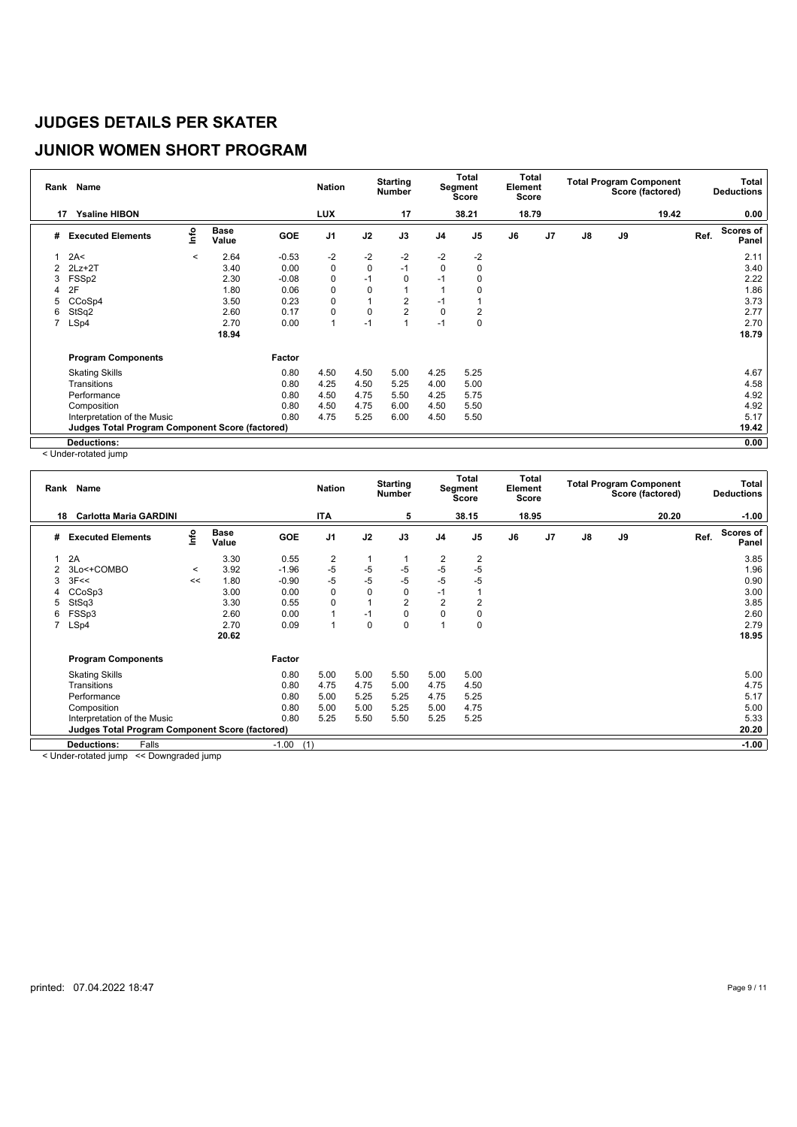# **JUNIOR WOMEN SHORT PROGRAM**

| Rank           | Name                                                   |         |                      |         | <b>Nation</b>  |             | <b>Starting</b><br>Number |                | Total<br>Segment<br>Score | Element<br><b>Score</b> | Total |                |    | <b>Total Program Component</b><br>Score (factored) |      | Total<br><b>Deductions</b> |
|----------------|--------------------------------------------------------|---------|----------------------|---------|----------------|-------------|---------------------------|----------------|---------------------------|-------------------------|-------|----------------|----|----------------------------------------------------|------|----------------------------|
| 17             | <b>Ysaline HIBON</b>                                   |         |                      |         | <b>LUX</b>     |             | 17                        |                | 38.21                     | 18.79                   |       |                |    | 19.42                                              |      | 0.00                       |
| #              | <b>Executed Elements</b>                               | Info    | <b>Base</b><br>Value | GOE     | J <sub>1</sub> | J2          | J3                        | J <sub>4</sub> | J <sub>5</sub>            | J6                      | J7    | $\mathbf{J}$ 8 | J9 |                                                    | Ref. | <b>Scores of</b><br>Panel  |
|                | 2A<                                                    | $\,<\,$ | 2.64                 | $-0.53$ | $-2$           | $-2$        | $-2$                      | $-2$           | $-2$                      |                         |       |                |    |                                                    |      | 2.11                       |
| 2              | $2Lz + 2T$                                             |         | 3.40                 | 0.00    | $\pmb{0}$      | $\mathbf 0$ | $-1$                      | $\mathbf 0$    | $\mathbf 0$               |                         |       |                |    |                                                    |      | 3.40                       |
| 3              | FSS <sub>p2</sub>                                      |         | 2.30                 | $-0.08$ | 0              | $-1$        | 0                         | -1             |                           |                         |       |                |    |                                                    |      | 2.22                       |
| 4              | 2F                                                     |         | 1.80                 | 0.06    | 0              | 0           |                           |                |                           |                         |       |                |    |                                                    |      | 1.86                       |
| 5              | CCoSp4                                                 |         | 3.50                 | 0.23    | 0              |             | $\overline{2}$            | -1             |                           |                         |       |                |    |                                                    |      | 3.73                       |
| 6              | StSq2                                                  |         | 2.60                 | 0.17    | 0              | 0           | $\overline{2}$            | 0              | 2                         |                         |       |                |    |                                                    |      | 2.77                       |
| $\overline{7}$ | LSp4                                                   |         | 2.70                 | 0.00    | 1              | $-1$        |                           | $-1$           | 0                         |                         |       |                |    |                                                    |      | 2.70                       |
|                |                                                        |         | 18.94                |         |                |             |                           |                |                           |                         |       |                |    |                                                    |      | 18.79                      |
|                | <b>Program Components</b>                              |         |                      | Factor  |                |             |                           |                |                           |                         |       |                |    |                                                    |      |                            |
|                | <b>Skating Skills</b>                                  |         |                      | 0.80    | 4.50           | 4.50        | 5.00                      | 4.25           | 5.25                      |                         |       |                |    |                                                    |      | 4.67                       |
|                | Transitions                                            |         |                      | 0.80    | 4.25           | 4.50        | 5.25                      | 4.00           | 5.00                      |                         |       |                |    |                                                    |      | 4.58                       |
|                | Performance                                            |         |                      | 0.80    | 4.50           | 4.75        | 5.50                      | 4.25           | 5.75                      |                         |       |                |    |                                                    |      | 4.92                       |
|                | Composition                                            |         |                      | 0.80    | 4.50           | 4.75        | 6.00                      | 4.50           | 5.50                      |                         |       |                |    |                                                    |      | 4.92                       |
|                | Interpretation of the Music                            |         |                      | 0.80    | 4.75           | 5.25        | 6.00                      | 4.50           | 5.50                      |                         |       |                |    |                                                    |      | 5.17                       |
|                | <b>Judges Total Program Component Score (factored)</b> |         |                      |         |                |             |                           |                |                           |                         |       |                |    |                                                    |      | 19.42                      |
|                | <b>Deductions:</b>                                     |         |                      |         |                |             |                           |                |                           |                         |       |                |    |                                                    |      | 0.00                       |

< Under-rotated jump

| Rank | Name                                                   |         |                      |         | <b>Nation</b>  |      | <b>Starting</b><br><b>Number</b> |                | <b>Total</b><br>Segment<br><b>Score</b> | Total<br>Element<br><b>Score</b> |                |    |    | <b>Total Program Component</b><br>Score (factored) |      | Total<br><b>Deductions</b> |
|------|--------------------------------------------------------|---------|----------------------|---------|----------------|------|----------------------------------|----------------|-----------------------------------------|----------------------------------|----------------|----|----|----------------------------------------------------|------|----------------------------|
| 18   | <b>Carlotta Maria GARDINI</b>                          |         |                      |         | <b>ITA</b>     |      | 5                                |                | 38.15                                   | 18.95                            |                |    |    | 20.20                                              |      | $-1.00$                    |
| #    | <b>Executed Elements</b>                               | Info    | <b>Base</b><br>Value | GOE     | J <sub>1</sub> | J2   | J3                               | J <sub>4</sub> | J <sub>5</sub>                          | J6                               | J <sub>7</sub> | J8 | J9 |                                                    | Ref. | Scores of<br>Panel         |
|      | 2A                                                     |         | 3.30                 | 0.55    | $\overline{2}$ |      |                                  | 2              | 2                                       |                                  |                |    |    |                                                    |      | 3.85                       |
| 2    | 3Lo<+COMBO                                             | $\prec$ | 3.92                 | $-1.96$ | $-5$           | $-5$ | $-5$                             | -5             | $-5$                                    |                                  |                |    |    |                                                    |      | 1.96                       |
| 3    | 3F<<                                                   | <<      | 1.80                 | $-0.90$ | $-5$           | $-5$ | $-5$                             | $-5$           | $-5$                                    |                                  |                |    |    |                                                    |      | 0.90                       |
|      | CCoSp3                                                 |         | 3.00                 | 0.00    | $\mathbf 0$    | 0    | 0                                | $-1$           |                                         |                                  |                |    |    |                                                    |      | 3.00                       |
| 5    | StSq3                                                  |         | 3.30                 | 0.55    | $\mathbf 0$    |      | $\overline{2}$                   | $\overline{2}$ | $\overline{2}$                          |                                  |                |    |    |                                                    |      | 3.85                       |
| 6    | FSSp3                                                  |         | 2.60                 | 0.00    |                | $-1$ | 0                                | $\Omega$       | 0                                       |                                  |                |    |    |                                                    |      | 2.60                       |
| 7    | LSp4                                                   |         | 2.70                 | 0.09    | 1              | 0    | 0                                |                | 0                                       |                                  |                |    |    |                                                    |      | 2.79                       |
|      |                                                        |         | 20.62                |         |                |      |                                  |                |                                         |                                  |                |    |    |                                                    |      | 18.95                      |
|      | <b>Program Components</b>                              |         |                      | Factor  |                |      |                                  |                |                                         |                                  |                |    |    |                                                    |      |                            |
|      | <b>Skating Skills</b>                                  |         |                      | 0.80    | 5.00           | 5.00 | 5.50                             | 5.00           | 5.00                                    |                                  |                |    |    |                                                    |      | 5.00                       |
|      | Transitions                                            |         |                      | 0.80    | 4.75           | 4.75 | 5.00                             | 4.75           | 4.50                                    |                                  |                |    |    |                                                    |      | 4.75                       |
|      | Performance                                            |         |                      | 0.80    | 5.00           | 5.25 | 5.25                             | 4.75           | 5.25                                    |                                  |                |    |    |                                                    |      | 5.17                       |
|      | Composition                                            |         |                      | 0.80    | 5.00           | 5.00 | 5.25                             | 5.00           | 4.75                                    |                                  |                |    |    |                                                    |      | 5.00                       |
|      | Interpretation of the Music                            |         |                      | 0.80    | 5.25           | 5.50 | 5.50                             | 5.25           | 5.25                                    |                                  |                |    |    |                                                    |      | 5.33                       |
|      | <b>Judges Total Program Component Score (factored)</b> |         |                      |         |                |      |                                  |                |                                         |                                  |                |    |    |                                                    |      | 20.20                      |
|      | Falls<br><b>Deductions:</b>                            |         |                      | $-1.00$ | (1)            |      |                                  |                |                                         |                                  |                |    |    |                                                    |      | $-1.00$                    |

< Under-rotated jump << Downgraded jump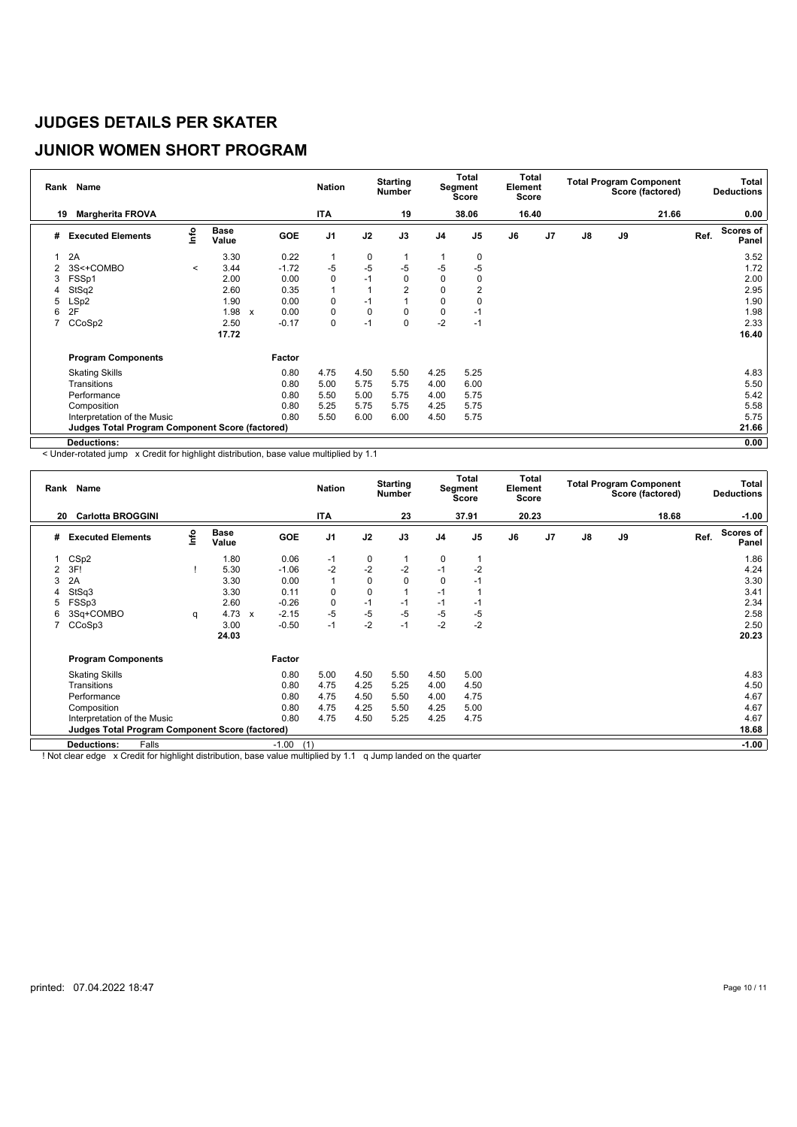# **JUNIOR WOMEN SHORT PROGRAM**

| Rank           | <b>Name</b>                                     |         |                      |                                   | <b>Nation</b>  |      | <b>Starting</b><br><b>Number</b> |                | <b>Total</b><br>Segment<br>Score | <b>Total</b><br>Element<br><b>Score</b> |    |               |    | <b>Total Program Component</b><br>Score (factored) |      | <b>Total</b><br><b>Deductions</b> |
|----------------|-------------------------------------------------|---------|----------------------|-----------------------------------|----------------|------|----------------------------------|----------------|----------------------------------|-----------------------------------------|----|---------------|----|----------------------------------------------------|------|-----------------------------------|
|                | <b>Margherita FROVA</b><br>19                   |         |                      |                                   | <b>ITA</b>     |      | 19                               |                | 38.06                            | 16.40                                   |    |               |    | 21.66                                              |      | 0.00                              |
| #              | <b>Executed Elements</b>                        | Info    | <b>Base</b><br>Value | GOE                               | J <sub>1</sub> | J2   | J3                               | J <sub>4</sub> | J <sub>5</sub>                   | J6                                      | J7 | $\mathsf{J}8$ | J9 |                                                    | Ref. | Scores of<br>Panel                |
|                | 2A                                              |         | 3.30                 | 0.22                              | 1              | 0    |                                  |                | 0                                |                                         |    |               |    |                                                    |      | 3.52                              |
| $\overline{2}$ | 3S<+COMBO                                       | $\prec$ | 3.44                 | $-1.72$                           | -5             | $-5$ | $-5$                             | $-5$           | $-5$                             |                                         |    |               |    |                                                    |      | 1.72                              |
| 3              | FSSp1                                           |         | 2.00                 | 0.00                              | 0              | $-1$ | 0                                | 0              |                                  |                                         |    |               |    |                                                    |      | 2.00                              |
| 4              | StSq2                                           |         | 2.60                 | 0.35                              | $\mathbf{1}$   |      | $\overline{2}$                   | 0              |                                  |                                         |    |               |    |                                                    |      | 2.95                              |
| 5              | LSp2                                            |         | 1.90                 | 0.00                              | 0              | $-1$ |                                  | 0              |                                  |                                         |    |               |    |                                                    |      | 1.90                              |
| 6              | 2F                                              |         | 1.98                 | 0.00<br>$\boldsymbol{\mathsf{x}}$ | 0              | 0    | 0                                | 0              | -1                               |                                         |    |               |    |                                                    |      | 1.98                              |
| 7              | CCoSp2                                          |         | 2.50                 | $-0.17$                           | 0              | $-1$ | 0                                | $-2$           | $-1$                             |                                         |    |               |    |                                                    |      | 2.33                              |
|                |                                                 |         | 17.72                |                                   |                |      |                                  |                |                                  |                                         |    |               |    |                                                    |      | 16.40                             |
|                | <b>Program Components</b>                       |         |                      | Factor                            |                |      |                                  |                |                                  |                                         |    |               |    |                                                    |      |                                   |
|                | <b>Skating Skills</b>                           |         |                      | 0.80                              | 4.75           | 4.50 | 5.50                             | 4.25           | 5.25                             |                                         |    |               |    |                                                    |      | 4.83                              |
|                | Transitions                                     |         |                      | 0.80                              | 5.00           | 5.75 | 5.75                             | 4.00           | 6.00                             |                                         |    |               |    |                                                    |      | 5.50                              |
|                | Performance                                     |         |                      | 0.80                              | 5.50           | 5.00 | 5.75                             | 4.00           | 5.75                             |                                         |    |               |    |                                                    |      | 5.42                              |
|                | Composition                                     |         |                      | 0.80                              | 5.25           | 5.75 | 5.75                             | 4.25           | 5.75                             |                                         |    |               |    |                                                    |      | 5.58                              |
|                | Interpretation of the Music                     |         |                      | 0.80                              | 5.50           | 6.00 | 6.00                             | 4.50           | 5.75                             |                                         |    |               |    |                                                    |      | 5.75                              |
|                | Judges Total Program Component Score (factored) |         |                      |                                   |                |      |                                  |                |                                  |                                         |    |               |    |                                                    |      | 21.66                             |
|                | <b>Deductions:</b>                              |         |                      |                                   |                |      |                                  |                |                                  |                                         |    |               |    |                                                    |      | 0.00                              |

< Under-rotated jump x Credit for highlight distribution, base value multiplied by 1.1

|    | Rank Name                                              |      |                      |              |         | <b>Nation</b>  |           | <b>Starting</b><br><b>Number</b> |                | Total<br>Segment<br><b>Score</b> | Total<br>Element<br><b>Score</b> |                |               |    | <b>Total Program Component</b><br>Score (factored) |      | Total<br><b>Deductions</b> |
|----|--------------------------------------------------------|------|----------------------|--------------|---------|----------------|-----------|----------------------------------|----------------|----------------------------------|----------------------------------|----------------|---------------|----|----------------------------------------------------|------|----------------------------|
| 20 | <b>Carlotta BROGGINI</b>                               |      |                      |              |         | <b>ITA</b>     |           | 23                               |                | 37.91                            | 20.23                            |                |               |    | 18.68                                              |      | $-1.00$                    |
| #  | <b>Executed Elements</b>                               | Info | <b>Base</b><br>Value |              | GOE     | J <sub>1</sub> | J2        | J3                               | J <sub>4</sub> | J <sub>5</sub>                   | J6                               | J <sub>7</sub> | $\mathsf{J}8$ | J9 |                                                    | Ref. | <b>Scores of</b><br>Panel  |
|    | CS <sub>p2</sub>                                       |      | 1.80                 |              | 0.06    | $-1$           | 0         |                                  | 0              |                                  |                                  |                |               |    |                                                    |      | 1.86                       |
| 2  | 3F!                                                    |      | 5.30                 |              | $-1.06$ | $-2$           | $-2$      | $-2$                             | $-1$           | $-2$                             |                                  |                |               |    |                                                    |      | 4.24                       |
| 3  | 2A                                                     |      | 3.30                 |              | 0.00    | 1              | 0         | 0                                | $\mathbf 0$    | -1                               |                                  |                |               |    |                                                    |      | 3.30                       |
| 4  | StSq3                                                  |      | 3.30                 |              | 0.11    | 0              | $\pmb{0}$ |                                  | -1             |                                  |                                  |                |               |    |                                                    |      | 3.41                       |
| 5  | FSSp3                                                  |      | 2.60                 |              | $-0.26$ | 0              | $-1$      | $-1$                             | $-1$           | -1                               |                                  |                |               |    |                                                    |      | 2.34                       |
| 6  | 3Sq+COMBO                                              | q    | 4.73                 | $\mathbf{x}$ | $-2.15$ | $-5$           | $-5$      | $-5$                             | $-5$           | $-5$                             |                                  |                |               |    |                                                    |      | 2.58                       |
|    | CCoSp3                                                 |      | 3.00                 |              | $-0.50$ | $-1$           | $-2$      | $-1$                             | $-2$           | $-2$                             |                                  |                |               |    |                                                    |      | 2.50                       |
|    |                                                        |      | 24.03                |              |         |                |           |                                  |                |                                  |                                  |                |               |    |                                                    |      | 20.23                      |
|    | <b>Program Components</b>                              |      |                      | Factor       |         |                |           |                                  |                |                                  |                                  |                |               |    |                                                    |      |                            |
|    | <b>Skating Skills</b>                                  |      |                      |              | 0.80    | 5.00           | 4.50      | 5.50                             | 4.50           | 5.00                             |                                  |                |               |    |                                                    |      | 4.83                       |
|    | Transitions                                            |      |                      |              | 0.80    | 4.75           | 4.25      | 5.25                             | 4.00           | 4.50                             |                                  |                |               |    |                                                    |      | 4.50                       |
|    | Performance                                            |      |                      |              | 0.80    | 4.75           | 4.50      | 5.50                             | 4.00           | 4.75                             |                                  |                |               |    |                                                    |      | 4.67                       |
|    | Composition                                            |      |                      |              | 0.80    | 4.75           | 4.25      | 5.50                             | 4.25           | 5.00                             |                                  |                |               |    |                                                    |      | 4.67                       |
|    | Interpretation of the Music                            |      |                      |              | 0.80    | 4.75           | 4.50      | 5.25                             | 4.25           | 4.75                             |                                  |                |               |    |                                                    |      | 4.67                       |
|    | <b>Judges Total Program Component Score (factored)</b> |      |                      |              |         |                |           |                                  |                |                                  |                                  |                |               |    |                                                    |      | 18.68                      |
|    | Falls<br><b>Deductions:</b>                            |      |                      | $-1.00$      | (1)     |                |           |                                  |                |                                  |                                  |                |               |    |                                                    |      | $-1.00$                    |

! Not clear edge x Credit for highlight distribution, base value multiplied by 1.1 q Jump landed on the quarter